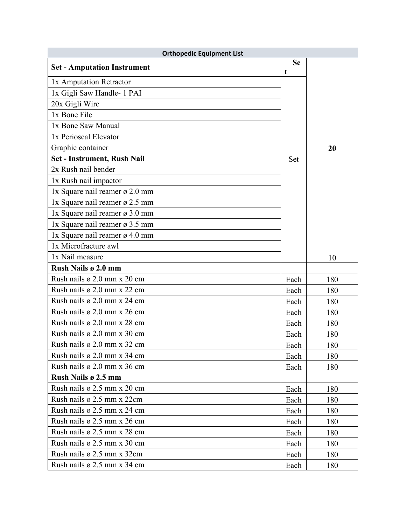| <b>Orthopedic Equipment List</b>        |                |     |
|-----------------------------------------|----------------|-----|
| <b>Set - Amputation Instrument</b>      | <b>Se</b><br>t |     |
| 1x Amputation Retractor                 |                |     |
| 1x Gigli Saw Handle- 1 PAI              |                |     |
| 20x Gigli Wire                          |                |     |
| 1x Bone File                            |                |     |
| 1x Bone Saw Manual                      |                |     |
| 1x Perioseal Elevator                   |                |     |
| Graphic container                       |                | 20  |
| Set - Instrument, Rush Nail             | Set            |     |
| 2x Rush nail bender                     |                |     |
| 1x Rush nail impactor                   |                |     |
| 1x Square nail reamer ø 2.0 mm          |                |     |
| 1x Square nail reamer ø 2.5 mm          |                |     |
| 1x Square nail reamer ø 3.0 mm          |                |     |
| 1x Square nail reamer ø 3.5 mm          |                |     |
| 1x Square nail reamer ø 4.0 mm          |                |     |
| 1x Microfracture awl                    |                |     |
| 1x Nail measure                         |                | 10  |
| Rush Nails ø 2.0 mm                     |                |     |
| Rush nails $\varnothing$ 2.0 mm x 20 cm | Each           | 180 |
| Rush nails $\varnothing$ 2.0 mm x 22 cm | Each           | 180 |
| Rush nails $\varnothing$ 2.0 mm x 24 cm | Each           | 180 |
| Rush nails $\varnothing$ 2.0 mm x 26 cm | Each           | 180 |
| Rush nails $\varnothing$ 2.0 mm x 28 cm | Each           | 180 |
| Rush nails $\varnothing$ 2.0 mm x 30 cm | Each           | 180 |
| Rush nails $\varnothing$ 2.0 mm x 32 cm | Each           | 180 |
| Rush nails $\varnothing$ 2.0 mm x 34 cm | Each           | 180 |
| Rush nails ø 2.0 mm x 36 cm             | Each           | 180 |
| <b>Rush Nails ø 2.5 mm</b>              |                |     |
| Rush nails $\varnothing$ 2.5 mm x 20 cm | Each           | 180 |
| Rush nails ø 2.5 mm x 22cm              | Each           | 180 |
| Rush nails $\varnothing$ 2.5 mm x 24 cm | Each           | 180 |
| Rush nails $\varnothing$ 2.5 mm x 26 cm | Each           | 180 |
| Rush nails $\varnothing$ 2.5 mm x 28 cm | Each           | 180 |
| Rush nails $\varnothing$ 2.5 mm x 30 cm | Each           | 180 |
| Rush nails ø 2.5 mm x 32cm              | Each           | 180 |
| Rush nails $\varnothing$ 2.5 mm x 34 cm | Each           | 180 |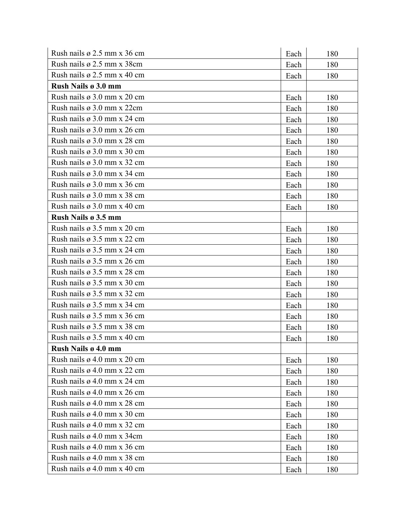| Rush nails $\varnothing$ 2.5 mm x 36 cm | Each | 180 |
|-----------------------------------------|------|-----|
| Rush nails ø 2.5 mm x 38cm              | Each | 180 |
| Rush nails $\varnothing$ 2.5 mm x 40 cm | Each | 180 |
| Rush Nails ø 3.0 mm                     |      |     |
| Rush nails $\varnothing$ 3.0 mm x 20 cm | Each | 180 |
| Rush nails $\varnothing$ 3.0 mm x 22cm  | Each | 180 |
| Rush nails $\varnothing$ 3.0 mm x 24 cm | Each | 180 |
| Rush nails $\varnothing$ 3.0 mm x 26 cm | Each | 180 |
| Rush nails $\varnothing$ 3.0 mm x 28 cm | Each | 180 |
| Rush nails $\varnothing$ 3.0 mm x 30 cm | Each | 180 |
| Rush nails $\varnothing$ 3.0 mm x 32 cm | Each | 180 |
| Rush nails $\varnothing$ 3.0 mm x 34 cm | Each | 180 |
| Rush nails $\varnothing$ 3.0 mm x 36 cm | Each | 180 |
| Rush nails $\varnothing$ 3.0 mm x 38 cm | Each | 180 |
| Rush nails $\varnothing$ 3.0 mm x 40 cm | Each | 180 |
| Rush Nails ø 3.5 mm                     |      |     |
| Rush nails $\varnothing$ 3.5 mm x 20 cm | Each | 180 |
| Rush nails $\varnothing$ 3.5 mm x 22 cm | Each | 180 |
| Rush nails $\varnothing$ 3.5 mm x 24 cm | Each | 180 |
| Rush nails $\varnothing$ 3.5 mm x 26 cm | Each | 180 |
| Rush nails $\varnothing$ 3.5 mm x 28 cm | Each | 180 |
| Rush nails $\varnothing$ 3.5 mm x 30 cm | Each | 180 |
| Rush nails $\varnothing$ 3.5 mm x 32 cm | Each | 180 |
| Rush nails $\varnothing$ 3.5 mm x 34 cm | Each | 180 |
| Rush nails $\varnothing$ 3.5 mm x 36 cm | Each | 180 |
| Rush nails $\varnothing$ 3.5 mm x 38 cm | Each | 180 |
| Rush nails $\varnothing$ 3.5 mm x 40 cm | Each | 180 |
| Rush Nails ø 4.0 mm                     |      |     |
| Rush nails $\varnothing$ 4.0 mm x 20 cm | Each | 180 |
| Rush nails $\varnothing$ 4.0 mm x 22 cm | Each | 180 |
| Rush nails $\varnothing$ 4.0 mm x 24 cm | Each | 180 |
| Rush nails $\varnothing$ 4.0 mm x 26 cm | Each | 180 |
| Rush nails $\varnothing$ 4.0 mm x 28 cm | Each | 180 |
| Rush nails $\varnothing$ 4.0 mm x 30 cm | Each | 180 |
| Rush nails $\varnothing$ 4.0 mm x 32 cm | Each | 180 |
| Rush nails $\varnothing$ 4.0 mm x 34cm  | Each | 180 |
| Rush nails $\varnothing$ 4.0 mm x 36 cm | Each | 180 |
| Rush nails $\varnothing$ 4.0 mm x 38 cm | Each | 180 |
| Rush nails $\varnothing$ 4.0 mm x 40 cm | Each | 180 |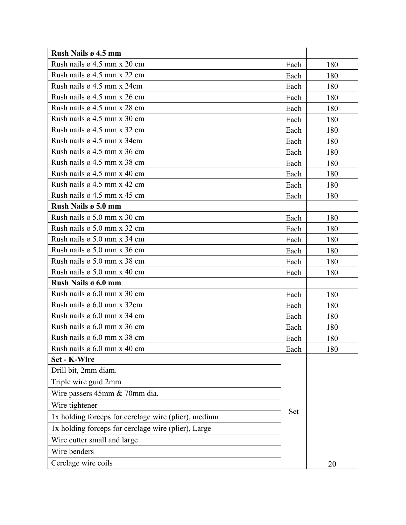| Rush Nails ø 4.5 mm                                  |            |     |
|------------------------------------------------------|------------|-----|
| Rush nails $\varnothing$ 4.5 mm x 20 cm              | Each       | 180 |
| Rush nails $\varnothing$ 4.5 mm x 22 cm              | Each       | 180 |
| Rush nails $\varnothing$ 4.5 mm x 24cm               | Each       | 180 |
| Rush nails $\varnothing$ 4.5 mm x 26 cm              | Each       | 180 |
| Rush nails $\varnothing$ 4.5 mm x 28 cm              | Each       | 180 |
| Rush nails $\varnothing$ 4.5 mm x 30 cm              | Each       | 180 |
| Rush nails ø 4.5 mm x 32 cm                          | Each       | 180 |
| Rush nails $\varnothing$ 4.5 mm x 34cm               | Each       | 180 |
| Rush nails $\varnothing$ 4.5 mm x 36 cm              | Each       | 180 |
| Rush nails $\varnothing$ 4.5 mm x 38 cm              | Each       | 180 |
| Rush nails $\varnothing$ 4.5 mm x 40 cm              | Each       | 180 |
| Rush nails $\varnothing$ 4.5 mm x 42 cm              | Each       | 180 |
| Rush nails $\varnothing$ 4.5 mm x 45 cm              | Each       | 180 |
| Rush Nails ø 5.0 mm                                  |            |     |
| Rush nails $\varnothing$ 5.0 mm x 30 cm              | Each       | 180 |
| Rush nails $\varnothing$ 5.0 mm x 32 cm              | Each       | 180 |
| Rush nails $\varnothing$ 5.0 mm x 34 cm              | Each       | 180 |
| Rush nails $\varnothing$ 5.0 mm x 36 cm              | Each       | 180 |
| Rush nails $\varnothing$ 5.0 mm x 38 cm              | Each       | 180 |
| Rush nails $\varnothing$ 5.0 mm x 40 cm              | Each       | 180 |
| Rush Nails ø 6.0 mm                                  |            |     |
| Rush nails $\varnothing$ 6.0 mm x 30 cm              | Each       | 180 |
| Rush nails $\varnothing$ 6.0 mm x 32cm               | Each       | 180 |
| Rush nails $\varnothing$ 6.0 mm x 34 cm              | Each       | 180 |
| Rush nails $\varnothing$ 6.0 mm x 36 cm              | Each       | 180 |
| Rush nails $\varnothing$ 6.0 mm x 38 cm              | Each       | 180 |
| Rush nails ø 6.0 mm x 40 cm                          | Each       | 180 |
| Set - K-Wire                                         |            |     |
| Drill bit, 2mm diam.                                 |            |     |
| Triple wire guid 2mm                                 |            |     |
| Wire passers 45mm & 70mm dia.                        |            |     |
| Wire tightener                                       |            |     |
| 1x holding forceps for cerclage wire (plier), medium | <b>Set</b> |     |
| 1x holding forceps for cerclage wire (plier), Large  |            |     |
| Wire cutter small and large                          |            |     |
| Wire benders                                         |            |     |
| Cerclage wire coils                                  |            | 20  |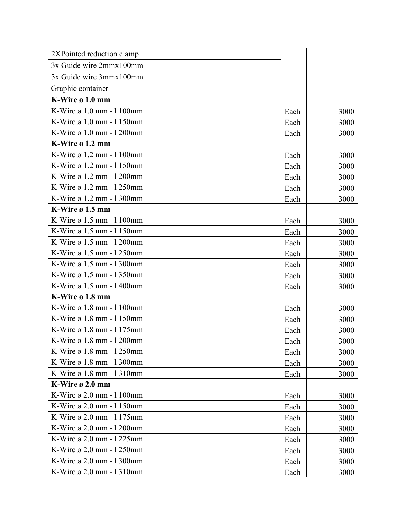| 2XPointed reduction clamp                 |      |      |
|-------------------------------------------|------|------|
| 3x Guide wire 2mmx100mm                   |      |      |
| 3x Guide wire 3mmx100mm                   |      |      |
| Graphic container                         |      |      |
| K-Wire ø 1.0 mm                           |      |      |
| K-Wire ø 1.0 mm - 1 100mm                 | Each | 3000 |
| K-Wire ø 1.0 mm - 1 150mm                 | Each | 3000 |
| K-Wire $\varnothing$ 1.0 mm - 1200mm      | Each | 3000 |
| K-Wire ø 1.2 mm                           |      |      |
| K-Wire $\varnothing$ 1.2 mm - 1100mm      | Each | 3000 |
| K-Wire $\varnothing$ 1.2 mm - 1150mm      | Each | 3000 |
| K-Wire $\varnothing$ 1.2 mm - 1200mm      | Each | 3000 |
| K-Wire ø 1.2 mm - 1 250mm                 | Each | 3000 |
| K-Wire ø 1.2 mm - 1300mm                  | Each | 3000 |
| K-Wire ø 1.5 mm                           |      |      |
| K-Wire $\varnothing$ 1.5 mm - 1100mm      | Each | 3000 |
| K-Wire ø 1.5 mm - 1150mm                  | Each | 3000 |
| K-Wire ø 1.5 mm - 1 200mm                 | Each | 3000 |
| K-Wire ø 1.5 mm - 1250mm                  | Each | 3000 |
| K-Wire $\varnothing$ 1.5 mm - 1300mm      | Each | 3000 |
| K-Wire ø 1.5 mm - 1350mm                  | Each | 3000 |
| K-Wire ø 1.5 mm - 1400mm                  | Each | 3000 |
| K-Wire ø 1.8 mm                           |      |      |
| K-Wire $\varnothing$ 1.8 mm - 1100mm      | Each | 3000 |
| K-Wire ø 1.8 mm - 1150mm                  | Each | 3000 |
| K-Wire ø 1.8 mm - 1 175mm                 | Each | 3000 |
| K-Wire $\varnothing$ 1.8 mm - 1200mm      | Each | 3000 |
| K-Wire $\varnothing$ 1.8 mm - 1250mm      | Each | 3000 |
| K-Wire ø 1.8 mm - 1300mm                  | Each | 3000 |
| K-Wire $\varnothing$ 1.8 mm - 1310mm      | Each | 3000 |
| K-Wire $\boldsymbol{\mathfrak{g}}$ 2.0 mm |      |      |
| K-Wire $\varnothing$ 2.0 mm - 1 100mm     | Each | 3000 |
| K-Wire ø 2.0 mm - 1 150mm                 | Each | 3000 |
| K-Wire ø 2.0 mm - 1 175mm                 | Each | 3000 |
| K-Wire ø 2.0 mm - 1 200mm                 | Each | 3000 |
| K-Wire ø 2.0 mm - 1 225mm                 | Each | 3000 |
| K-Wire ø 2.0 mm - 1 250mm                 | Each | 3000 |
| K-Wire ø 2.0 mm - 1300mm                  | Each | 3000 |
| K-Wire ø 2.0 mm - 1310mm                  | Each | 3000 |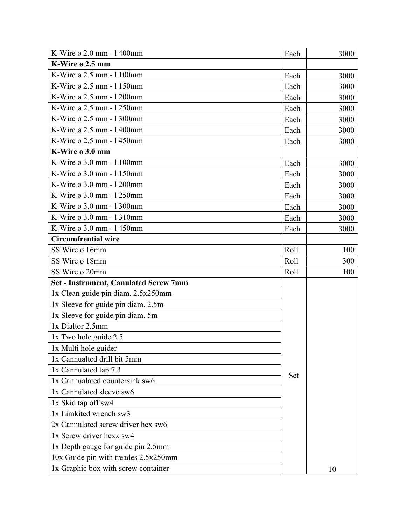| K-Wire ø 2.0 mm - 1400mm                     | Each | 3000 |
|----------------------------------------------|------|------|
| K-Wire ø 2.5 mm                              |      |      |
| K-Wire ø 2.5 mm - 1 100mm                    | Each | 3000 |
| K-Wire ø 2.5 mm - 1 150mm                    | Each | 3000 |
| K-Wire ø 2.5 mm - 1 200mm                    | Each | 3000 |
| K-Wire ø 2.5 mm - 1 250mm                    | Each | 3000 |
| K-Wire ø 2.5 mm - 1 300mm                    | Each | 3000 |
| K-Wire $\varnothing$ 2.5 mm - 1400mm         | Each | 3000 |
| K-Wire $\varnothing$ 2.5 mm - 1450mm         | Each | 3000 |
| K-Wire ø 3.0 mm                              |      |      |
| K-Wire ø 3.0 mm - 1 100mm                    | Each | 3000 |
| K-Wire ø 3.0 mm - 1 150mm                    | Each | 3000 |
| K-Wire $\varnothing$ 3.0 mm - 1200mm         | Each | 3000 |
| K-Wire ø 3.0 mm - 1 250mm                    | Each | 3000 |
| K-Wire ø 3.0 mm - 1 300mm                    | Each | 3000 |
| K-Wire ø 3.0 mm - 1310mm                     | Each | 3000 |
| K-Wire $\varnothing$ 3.0 mm - 1450mm         | Each | 3000 |
| <b>Circumfrential wire</b>                   |      |      |
| SS Wire ø 16mm                               | Roll | 100  |
| SS Wire ø 18mm                               | Roll | 300  |
| SS Wire ø 20mm                               | Roll | 100  |
| <b>Set - Instrument, Canulated Screw 7mm</b> |      |      |
| 1x Clean guide pin diam. 2.5x250mm           |      |      |
| 1x Sleeve for guide pin diam. 2.5m           |      |      |
| 1x Sleeve for guide pin diam. 5m             |      |      |
| 1x Dialtor 2.5mm                             |      |      |
| 1x Two hole guide 2.5                        |      |      |
| 1x Multi hole guider                         |      |      |
| 1x Cannualted drill bit 5mm                  |      |      |
| 1x Cannulated tap 7.3                        |      |      |
| 1x Cannualated countersink sw6               | Set  |      |
| 1x Cannulated sleeve sw6                     |      |      |
| 1x Skid tap off sw4                          |      |      |
| 1x Limkited wrench sw3                       |      |      |
| 2x Cannulated screw driver hex sw6           |      |      |
| 1x Screw driver hexx sw4                     |      |      |
| 1x Depth gauge for guide pin 2.5mm           |      |      |
| 10x Guide pin with treades 2.5x250mm         |      |      |
| 1x Graphic box with screw container          |      | 10   |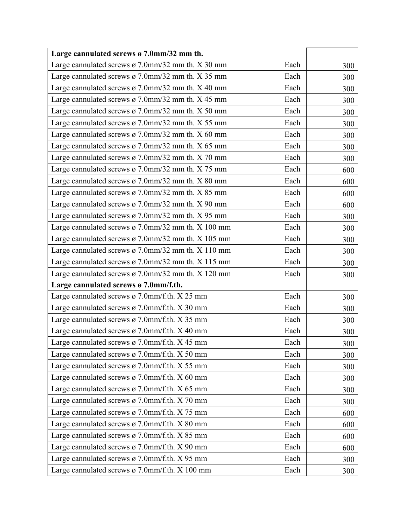| Large cannulated screws ø 7.0mm/32 mm th.                     |      |     |
|---------------------------------------------------------------|------|-----|
| Large cannulated screws ø 7.0mm/32 mm th. X 30 mm             | Each | 300 |
| Large cannulated screws $\varnothing$ 7.0mm/32 mm th. X 35 mm | Each | 300 |
| Large cannulated screws $\varnothing$ 7.0mm/32 mm th. X 40 mm | Each | 300 |
| Large cannulated screws $\varnothing$ 7.0mm/32 mm th. X 45 mm | Each | 300 |
| Large cannulated screws $\varnothing$ 7.0mm/32 mm th. X 50 mm | Each | 300 |
| Large cannulated screws ø 7.0mm/32 mm th. $X$ 55 mm           | Each | 300 |
| Large cannulated screws ø 7.0mm/32 mm th. X 60 mm             | Each | 300 |
| Large cannulated screws ø 7.0mm/32 mm th. X 65 mm             | Each | 300 |
| Large cannulated screws ø 7.0mm/32 mm th. X 70 mm             | Each | 300 |
| Large cannulated screws $\varnothing$ 7.0mm/32 mm th. X 75 mm | Each | 600 |
| Large cannulated screws $\varnothing$ 7.0mm/32 mm th. X 80 mm | Each | 600 |
| Large cannulated screws $\varnothing$ 7.0mm/32 mm th. X 85 mm | Each | 600 |
| Large cannulated screws ø 7.0mm/32 mm th. X 90 mm             | Each | 600 |
| Large cannulated screws $\varnothing$ 7.0mm/32 mm th. X 95 mm | Each | 300 |
| Large cannulated screws $\sigma$ 7.0mm/32 mm th. X 100 mm     | Each | 300 |
| Large cannulated screws ø 7.0mm/32 mm th. X 105 mm            | Each | 300 |
| Large cannulated screws $\sigma$ 7.0mm/32 mm th. X 110 mm     | Each | 300 |
| Large cannulated screws ø 7.0mm/32 mm th. X 115 mm            | Each | 300 |
| Large cannulated screws ø 7.0mm/32 mm th. X 120 mm            | Each | 300 |
| Large cannulated screws ø 7.0mm/f.th.                         |      |     |
| Large cannulated screws $\varphi$ 7.0mm/f.th. X 25 mm         | Each | 300 |
| Large cannulated screws ø 7.0mm/f.th. X 30 mm                 | Each | 300 |
| Large cannulated screws ø 7.0mm/f.th. X 35 mm                 | Each | 300 |
| Large cannulated screws ø 7.0mm/f.th. X 40 mm                 | Each | 300 |
| Large cannulated screws ø 7.0mm/f.th. X 45 mm                 | Each | 300 |
| Large cannulated screws $\varphi$ 7.0mm/f.th. X 50 mm         | Each | 300 |
| Large cannulated screws $\varnothing$ 7.0mm/f.th. X 55 mm     | Each | 300 |
| Large cannulated screws ø 7.0mm/f.th. X 60 mm                 | Each | 300 |
| Large cannulated screws ø 7.0mm/f.th. X 65 mm                 | Each | 300 |
| Large cannulated screws ø 7.0mm/f.th. X 70 mm                 | Each | 300 |
| Large cannulated screws ø 7.0mm/f.th. X 75 mm                 | Each | 600 |
| Large cannulated screws ø 7.0mm/f.th. X 80 mm                 | Each | 600 |
| Large cannulated screws ø 7.0mm/f.th. X 85 mm                 | Each | 600 |
| Large cannulated screws ø 7.0mm/f.th. X 90 mm                 | Each | 600 |
| Large cannulated screws ø 7.0mm/f.th. X 95 mm                 | Each | 300 |
| Large cannulated screws ø 7.0mm/f.th. X 100 mm                | Each | 300 |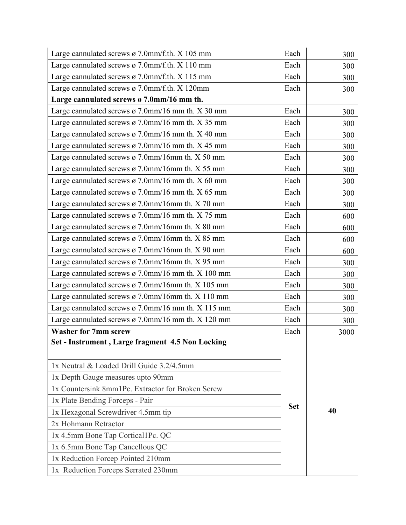| Large cannulated screws ø 7.0mm/f.th. X 105 mm                 | Each       | 300  |
|----------------------------------------------------------------|------------|------|
| Large cannulated screws ø 7.0mm/f.th. X 110 mm                 | Each       | 300  |
| Large cannulated screws ø 7.0mm/f.th. X 115 mm                 | Each       | 300  |
| Large cannulated screws ø 7.0mm/f.th. X 120mm                  | Each       | 300  |
| Large cannulated screws ø 7.0mm/16 mm th.                      |            |      |
| Large cannulated screws $\varnothing$ 7.0mm/16 mm th. X 30 mm  | Each       | 300  |
| Large cannulated screws $\varnothing$ 7.0mm/16 mm th. X 35 mm  | Each       | 300  |
| Large cannulated screws $\varnothing$ 7.0mm/16 mm th. X 40 mm  | Each       | 300  |
| Large cannulated screws ø 7.0mm/16 mm th. $X$ 45 mm            | Each       | 300  |
| Large cannulated screws $\varphi$ 7.0mm/16mm th. X 50 mm       | Each       | 300  |
| Large cannulated screws $\sigma$ 7.0mm/16mm th. X 55 mm        | Each       | 300  |
| Large cannulated screws ø 7.0mm/16 mm th. X 60 mm              | Each       | 300  |
| Large cannulated screws $\varnothing$ 7.0mm/16 mm th. X 65 mm  | Each       | 300  |
| Large cannulated screws ø 7.0mm/16mm th. X 70 mm               | Each       | 300  |
| Large cannulated screws ø 7.0mm/16 mm th. X 75 mm              | Each       | 600  |
| Large cannulated screws $\sigma$ 7.0mm/16mm th. X 80 mm        | Each       | 600  |
| Large cannulated screws ø 7.0mm/16mm th. $X$ 85 mm             | Each       | 600  |
| Large cannulated screws ø 7.0mm/16mm th. $X$ 90 mm             | Each       | 600  |
| Large cannulated screws ø 7.0mm/16mm th. X 95 mm               | Each       | 300  |
| Large cannulated screws $\varnothing$ 7.0mm/16 mm th. X 100 mm | Each       | 300  |
| Large cannulated screws ø 7.0mm/16mm th. X 105 mm              | Each       | 300  |
| Large cannulated screws ø 7.0mm/16mm th. $X$ 110 mm            | Each       | 300  |
| Large cannulated screws $\varphi$ 7.0mm/16 mm th. X 115 mm     | Each       | 300  |
| Large cannulated screws $\varnothing$ 7.0mm/16 mm th. X 120 mm | Each       | 300  |
| <b>Washer for 7mm screw</b>                                    | Each       | 3000 |
| Set - Instrument, Large fragment 4.5 Non Locking               |            |      |
| 1x Neutral & Loaded Drill Guide 3.2/4.5mm                      |            |      |
| 1x Depth Gauge measures upto 90mm                              |            |      |
| 1x Countersink 8mm1Pc. Extractor for Broken Screw              |            |      |
| 1x Plate Bending Forceps - Pair                                | <b>Set</b> |      |
| 1x Hexagonal Screwdriver 4.5mm tip                             |            | 40   |
| 2x Hohmann Retractor                                           |            |      |
| 1x 4.5mm Bone Tap Cortical1Pc. QC                              |            |      |
| 1x 6.5mm Bone Tap Cancellous QC                                |            |      |
| 1x Reduction Forcep Pointed 210mm                              |            |      |
| 1x Reduction Forceps Serrated 230mm                            |            |      |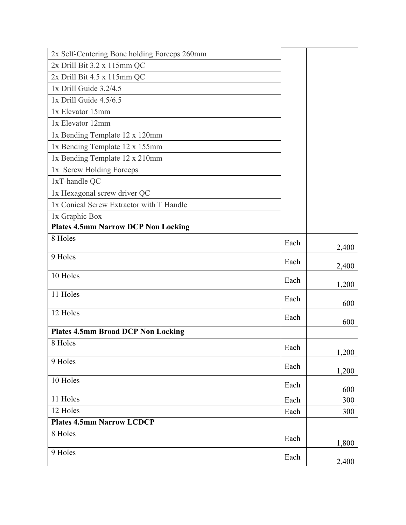| 2x Self-Centering Bone holding Forceps 260mm |      |       |
|----------------------------------------------|------|-------|
| 2x Drill Bit 3.2 x 115mm QC                  |      |       |
| 2x Drill Bit 4.5 x 115mm QC                  |      |       |
| 1x Drill Guide 3.2/4.5                       |      |       |
| 1x Drill Guide 4.5/6.5                       |      |       |
| 1x Elevator 15mm                             |      |       |
| 1x Elevator 12mm                             |      |       |
| 1x Bending Template 12 x 120mm               |      |       |
| 1x Bending Template 12 x 155mm               |      |       |
| 1x Bending Template 12 x 210mm               |      |       |
| 1x Screw Holding Forceps                     |      |       |
| 1xT-handle QC                                |      |       |
| 1x Hexagonal screw driver QC                 |      |       |
| 1x Conical Screw Extractor with T Handle     |      |       |
| 1x Graphic Box                               |      |       |
| <b>Plates 4.5mm Narrow DCP Non Locking</b>   |      |       |
| 8 Holes                                      | Each | 2,400 |
| 9 Holes                                      | Each | 2,400 |
| 10 Holes                                     | Each | 1,200 |
| 11 Holes                                     | Each | 600   |
| 12 Holes                                     | Each | 600   |
| <b>Plates 4.5mm Broad DCP Non Locking</b>    |      |       |
| 8 Holes                                      | Each | 1,200 |
| 9 Holes                                      | Each | 1,200 |
| 10 Holes                                     | Each | 600   |
| 11 Holes                                     | Each | 300   |
| 12 Holes                                     | Each | 300   |
| <b>Plates 4.5mm Narrow LCDCP</b>             |      |       |
| 8 Holes                                      | Each | 1,800 |
| 9 Holes                                      | Each | 2,400 |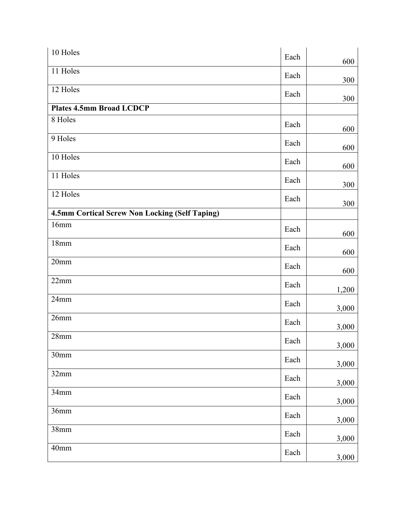| 10 Holes                                       | Each | 600   |
|------------------------------------------------|------|-------|
| 11 Holes                                       | Each | 300   |
| 12 Holes                                       | Each | 300   |
| <b>Plates 4.5mm Broad LCDCP</b>                |      |       |
| 8 Holes                                        | Each | 600   |
| 9 Holes                                        | Each | 600   |
| 10 Holes                                       | Each | 600   |
| 11 Holes                                       | Each | 300   |
| 12 Holes                                       | Each | 300   |
| 4.5mm Cortical Screw Non Locking (Self Taping) |      |       |
| 16mm                                           | Each | 600   |
| 18mm                                           | Each | 600   |
| 20 <sub>mm</sub>                               | Each | 600   |
| 22mm                                           | Each | 1,200 |
| 24mm                                           | Each | 3,000 |
| 26mm                                           | Each | 3,000 |
| 28mm                                           | Each | 3,000 |
| 30mm                                           | Each | 3,000 |
| 32mm                                           | Each | 3,000 |
| 34mm                                           | Each | 3,000 |
| 36mm                                           | Each | 3,000 |
| 38mm                                           | Each | 3,000 |
| 40mm                                           | Each | 3,000 |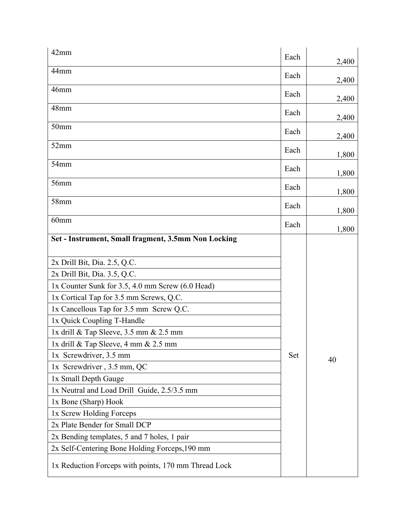| 42mm                                                 | Each | 2,400 |
|------------------------------------------------------|------|-------|
| 44 <sub>mm</sub>                                     | Each | 2,400 |
| 46mm                                                 | Each |       |
| 48mm                                                 |      | 2,400 |
|                                                      | Each | 2,400 |
| 50 <sub>mm</sub>                                     | Each | 2,400 |
| 52mm                                                 | Each | 1,800 |
| 54mm                                                 | Each | 1,800 |
| 56mm                                                 | Each |       |
| 58mm                                                 |      | 1,800 |
|                                                      | Each | 1,800 |
| 60 <sub>mm</sub>                                     | Each | 1,800 |
| Set - Instrument, Small fragment, 3.5mm Non Locking  |      |       |
| 2x Drill Bit, Dia. 2.5, Q.C.                         |      |       |
| 2x Drill Bit, Dia. 3.5, Q.C.                         |      |       |
| 1x Counter Sunk for 3.5, 4.0 mm Screw (6.0 Head)     |      |       |
| 1x Cortical Tap for 3.5 mm Screws, Q.C.              |      |       |
| 1x Cancellous Tap for 3.5 mm Screw Q.C.              |      |       |
| 1x Quick Coupling T-Handle                           |      |       |
| 1x drill $&$ Tap Sleeve, 3.5 mm $&$ 2.5 mm           |      |       |
| 1x drill $\&$ Tap Sleeve, 4 mm $\&$ 2.5 mm           |      |       |
| 1x Screwdriver, 3.5 mm                               | Set  | 40    |
| 1x Screwdriver, 3.5 mm, QC                           |      |       |
| 1x Small Depth Gauge                                 |      |       |
| 1x Neutral and Load Drill Guide, 2.5/3.5 mm          |      |       |
| 1x Bone (Sharp) Hook                                 |      |       |
| 1x Screw Holding Forceps                             |      |       |
| 2x Plate Bender for Small DCP                        |      |       |
| 2x Bending templates, 5 and 7 holes, 1 pair          |      |       |
| 2x Self-Centering Bone Holding Forceps, 190 mm       |      |       |
| 1x Reduction Forceps with points, 170 mm Thread Lock |      |       |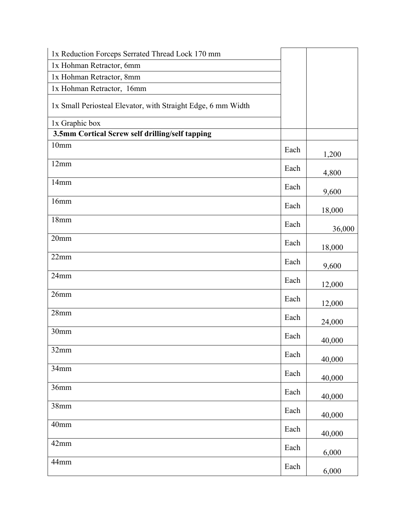| 1x Reduction Forceps Serrated Thread Lock 170 mm             |      |        |
|--------------------------------------------------------------|------|--------|
| 1x Hohman Retractor, 6mm                                     |      |        |
| 1x Hohman Retractor, 8mm                                     |      |        |
| 1x Hohman Retractor, 16mm                                    |      |        |
| 1x Small Periosteal Elevator, with Straight Edge, 6 mm Width |      |        |
| 1x Graphic box                                               |      |        |
| 3.5mm Cortical Screw self drilling/self tapping              |      |        |
| 10 <sub>mm</sub>                                             | Each | 1,200  |
| 12mm                                                         | Each | 4,800  |
| 14mm                                                         | Each | 9,600  |
| 16mm                                                         | Each | 18,000 |
| 18mm                                                         | Each | 36,000 |
| 20 <sub>mm</sub>                                             | Each | 18,000 |
| 22mm                                                         | Each | 9,600  |
| 24mm                                                         | Each | 12,000 |
| 26mm                                                         | Each | 12,000 |
| 28mm                                                         | Each | 24,000 |
| 30 <sub>mm</sub>                                             | Each | 40,000 |
| 32mm                                                         | Each | 40,000 |
| 34mm                                                         | Each | 40,000 |
| 36mm                                                         | Each | 40,000 |
| 38mm                                                         | Each | 40,000 |
| 40mm                                                         | Each | 40,000 |
| 42mm                                                         | Each | 6,000  |
| 44mm                                                         | Each | 6,000  |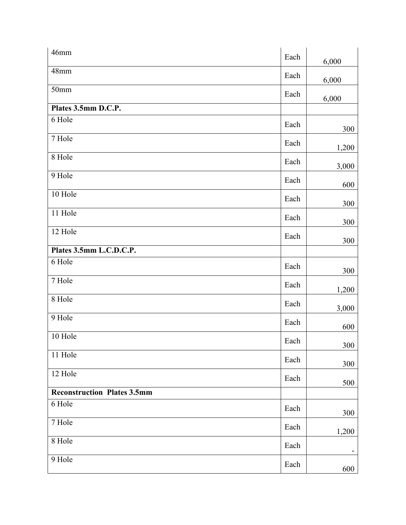| $46$ mm                            | Each | 6,000 |
|------------------------------------|------|-------|
| 48mm                               | Each | 6,000 |
| 50 <sub>mm</sub>                   | Each | 6,000 |
| Plates 3.5mm D.C.P.                |      |       |
| 6 Hole                             | Each | 300   |
| 7 Hole                             | Each | 1,200 |
| 8 Hole                             | Each | 3,000 |
| 9 Hole                             | Each | 600   |
| 10 Hole                            | Each | 300   |
| 11 Hole                            | Each | 300   |
| 12 Hole                            | Each | 300   |
| Plates 3.5mm L.C.D.C.P.            |      |       |
| 6 Hole                             | Each | 300   |
| 7 Hole                             | Each | 1,200 |
| 8 Hole                             | Each | 3,000 |
| 9 Hole                             | Each | 600   |
| 10 Hole                            | Each | 300   |
| 11 Hole                            | Each | 300   |
| 12 Hole                            | Each | 500   |
| <b>Reconstruction Plates 3.5mm</b> |      |       |
| 6 Hole                             | Each | 300   |
| 7 Hole                             | Each | 1,200 |
| 8 Hole                             | Each |       |
| 9 Hole                             | Each | 600   |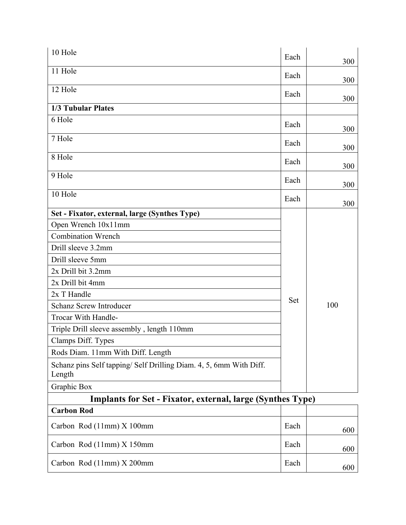| 10 Hole                                                                      | Each | 300 |
|------------------------------------------------------------------------------|------|-----|
| 11 Hole                                                                      | Each | 300 |
| 12 Hole                                                                      | Each | 300 |
| 1/3 Tubular Plates                                                           |      |     |
| 6 Hole                                                                       | Each | 300 |
| 7 Hole                                                                       | Each | 300 |
| 8 Hole                                                                       | Each | 300 |
| 9 Hole                                                                       | Each | 300 |
| 10 Hole                                                                      | Each | 300 |
| Set - Fixator, external, large (Synthes Type)                                |      |     |
| Open Wrench 10x11mm                                                          |      |     |
| <b>Combination Wrench</b>                                                    |      |     |
| Drill sleeve 3.2mm                                                           |      |     |
| Drill sleeve 5mm                                                             |      |     |
| 2x Drill bit 3.2mm                                                           |      |     |
| 2x Drill bit 4mm                                                             |      |     |
| 2x T Handle                                                                  |      |     |
| <b>Schanz Screw Introducer</b>                                               | Set  | 100 |
| Trocar With Handle-                                                          |      |     |
| Triple Drill sleeve assembly, length 110mm                                   |      |     |
| Clamps Diff. Types                                                           |      |     |
| Rods Diam. 11mm With Diff. Length                                            |      |     |
| Schanz pins Self tapping/ Self Drilling Diam. 4, 5, 6mm With Diff.<br>Length |      |     |
| Graphic Box                                                                  |      |     |
| <b>Implants for Set - Fixator, external, large (Synthes Type)</b>            |      |     |
| <b>Carbon Rod</b>                                                            |      |     |
| Carbon Rod (11mm) X 100mm                                                    | Each | 600 |
| Carbon Rod (11mm) X 150mm                                                    | Each | 600 |

 $\text{Carbon Rod (11mm)} \times 200 \text{mm}$  Each

600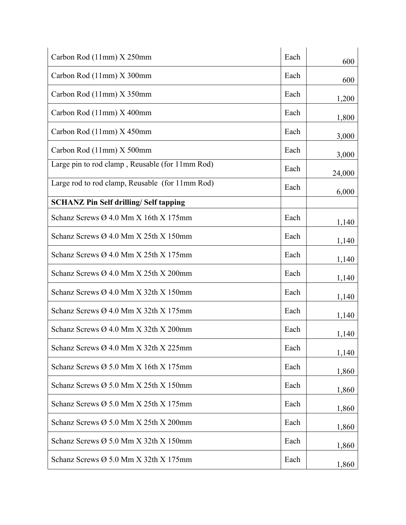| Carbon Rod (11mm) X 250mm                         | Each | 600    |
|---------------------------------------------------|------|--------|
| Carbon Rod (11mm) X 300mm                         | Each | 600    |
| Carbon Rod (11mm) X 350mm                         | Each | 1,200  |
| Carbon Rod (11mm) X 400mm                         | Each | 1,800  |
| Carbon Rod (11mm) X 450mm                         | Each | 3,000  |
| Carbon Rod (11mm) X 500mm                         | Each | 3,000  |
| Large pin to rod clamp, Reusable (for 11mm Rod)   | Each | 24,000 |
| Large rod to rod clamp, Reusable (for 11mm Rod)   | Each | 6,000  |
| <b>SCHANZ Pin Self drilling/ Self tapping</b>     |      |        |
| Schanz Screws $\varnothing$ 4.0 Mm X 16th X 175mm | Each | 1,140  |
| Schanz Screws Ø 4.0 Mm X 25th X 150mm             | Each | 1,140  |
| Schanz Screws $\varnothing$ 4.0 Mm X 25th X 175mm | Each | 1,140  |
| Schanz Screws Ø 4.0 Mm X 25th X 200mm             | Each | 1,140  |
| Schanz Screws Ø 4.0 Mm X 32th X 150mm             | Each | 1,140  |
| Schanz Screws Ø 4.0 Mm X 32th X 175mm             | Each | 1,140  |
| Schanz Screws Ø 4.0 Mm X 32th X 200mm             | Each | 1,140  |
| Schanz Screws $\varnothing$ 4.0 Mm X 32th X 225mm | Each | 1,140  |
| Schanz Screws $\varnothing$ 5.0 Mm X 16th X 175mm | Each | 1,860  |
| Schanz Screws $\varnothing$ 5.0 Mm X 25th X 150mm | Each | 1,860  |
| Schanz Screws $\varnothing$ 5.0 Mm X 25th X 175mm | Each | 1,860  |
| Schanz Screws Ø 5.0 Mm X 25th X 200mm             | Each | 1,860  |
| Schanz Screws $\varnothing$ 5.0 Mm X 32th X 150mm | Each | 1,860  |
| Schanz Screws $\varnothing$ 5.0 Mm X 32th X 175mm | Each | 1,860  |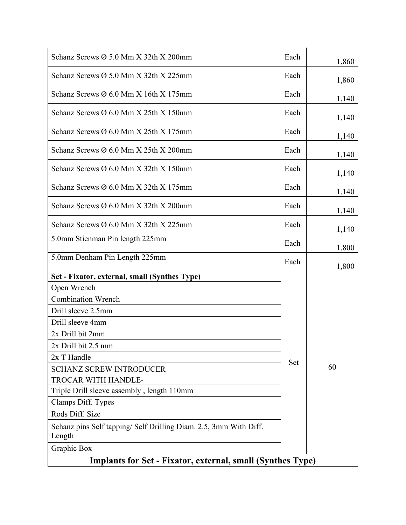| Schanz Screws $\varnothing$ 5.0 Mm X 32th X 200mm                          | Each | 1,860 |
|----------------------------------------------------------------------------|------|-------|
| Schanz Screws $\varnothing$ 5.0 Mm X 32th X 225mm                          | Each | 1,860 |
| Schanz Screws Ø 6.0 Mm X 16th X 175mm                                      | Each | 1,140 |
| Schanz Screws $\varnothing$ 6.0 Mm X 25th X 150mm                          | Each | 1,140 |
| Schanz Screws Ø 6.0 Mm X 25th X 175mm                                      | Each | 1,140 |
| Schanz Screws $\varnothing$ 6.0 Mm X 25th X 200mm                          | Each | 1,140 |
| Schanz Screws $\varnothing$ 6.0 Mm X 32th X 150mm                          | Each | 1,140 |
| Schanz Screws Ø 6.0 Mm X 32th X 175mm                                      | Each | 1,140 |
| Schanz Screws $\varnothing$ 6.0 Mm X 32th X 200mm                          | Each | 1,140 |
| Schanz Screws $\varnothing$ 6.0 Mm X 32th X 225mm                          | Each | 1,140 |
| 5.0mm Stienman Pin length 225mm                                            | Each | 1,800 |
| 5.0mm Denham Pin Length 225mm                                              | Each | 1,800 |
| Set - Fixator, external, small (Synthes Type)                              |      |       |
| Open Wrench                                                                |      |       |
| <b>Combination Wrench</b>                                                  |      |       |
| Drill sleeve 2.5mm                                                         |      |       |
| Drill sleeve 4mm                                                           |      |       |
| 2x Drill bit 2mm                                                           |      |       |
| 2x Drill bit 2.5 mm                                                        |      |       |
| 2x T Handle                                                                |      |       |
| <b>SCHANZ SCREW INTRODUCER</b>                                             | Set  | 60    |
| TROCAR WITH HANDLE-                                                        |      |       |
| Triple Drill sleeve assembly, length 110mm                                 |      |       |
| Clamps Diff. Types                                                         |      |       |
| Rods Diff. Size                                                            |      |       |
| Schanz pins Self tapping/Self Drilling Diam. 2.5, 3mm With Diff.<br>Length |      |       |
| Graphic Box                                                                |      |       |
| <b>Implants for Set - Fixator, external, small (Synthes Type)</b>          |      |       |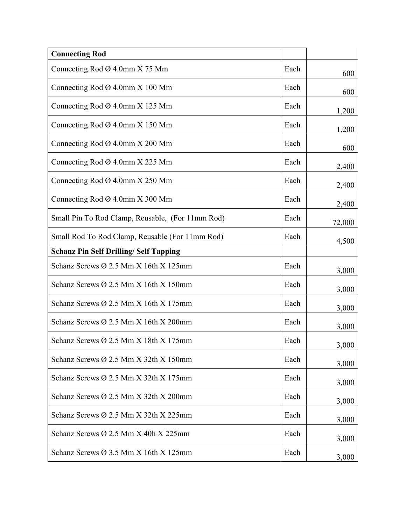| <b>Connecting Rod</b>                             |      |        |
|---------------------------------------------------|------|--------|
| Connecting Rod $\varnothing$ 4.0mm X 75 Mm        | Each | 600    |
| Connecting Rod $\varnothing$ 4.0mm X 100 Mm       | Each | 600    |
| Connecting Rod $\varnothing$ 4.0mm X 125 Mm       | Each | 1,200  |
| Connecting Rod $\varnothing$ 4.0mm X 150 Mm       | Each | 1,200  |
| Connecting Rod Ø 4.0mm X 200 Mm                   | Each | 600    |
| Connecting Rod $\varnothing$ 4.0mm X 225 Mm       | Each | 2,400  |
| Connecting Rod $\varnothing$ 4.0mm X 250 Mm       | Each | 2,400  |
| Connecting Rod $\varnothing$ 4.0mm X 300 Mm       | Each | 2,400  |
| Small Pin To Rod Clamp, Reusable, (For 11mm Rod)  | Each | 72,000 |
| Small Rod To Rod Clamp, Reusable (For 11mm Rod)   | Each | 4,500  |
| <b>Schanz Pin Self Drilling/ Self Tapping</b>     |      |        |
| Schanz Screws Ø 2.5 Mm X 16th X 125mm             | Each | 3,000  |
| Schanz Screws Ø 2.5 Mm X 16th X 150mm             | Each | 3,000  |
| Schanz Screws Ø 2.5 Mm X 16th X 175mm             | Each | 3,000  |
| Schanz Screws Ø 2.5 Mm X 16th X 200mm             | Each | 3,000  |
| Schanz Screws Ø 2.5 Mm X 18th X 175mm             | Each | 3,000  |
| Schanz Screws Ø 2.5 Mm X 32th X 150mm             | Each | 3,000  |
| Schanz Screws $\varnothing$ 2.5 Mm X 32th X 175mm | Each | 3,000  |
| Schanz Screws Ø 2.5 Mm X 32th X 200mm             | Each | 3,000  |
| Schanz Screws $\varnothing$ 2.5 Mm X 32th X 225mm | Each | 3,000  |
| Schanz Screws $\varnothing$ 2.5 Mm X 40h X 225mm  | Each | 3,000  |
| Schanz Screws $\varnothing$ 3.5 Mm X 16th X 125mm | Each | 3,000  |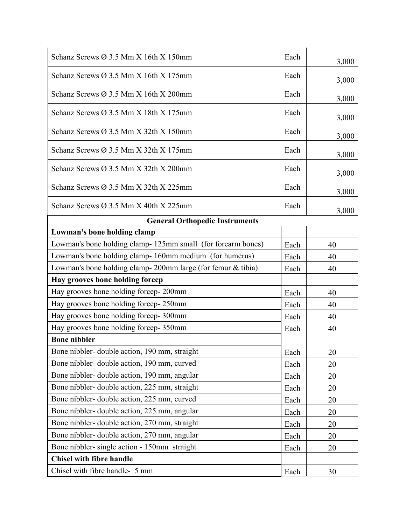| Schanz Screws $\varnothing$ 3.5 Mm X 16th X 150mm            | Each |       |
|--------------------------------------------------------------|------|-------|
|                                                              |      | 3,000 |
| Schanz Screws Ø 3.5 Mm X 16th X 175mm                        | Each | 3,000 |
| Schanz Screws $\varnothing$ 3.5 Mm X 16th X 200mm            | Each | 3,000 |
| Schanz Screws $\varnothing$ 3.5 Mm X 18th X 175mm            | Each | 3,000 |
| Schanz Screws Ø 3.5 Mm X 32th X 150mm                        | Each | 3,000 |
| Schanz Screws Ø 3.5 Mm X 32th X 175mm                        | Each | 3,000 |
| Schanz Screws $\varnothing$ 3.5 Mm X 32th X 200mm            | Each | 3,000 |
| Schanz Screws $\varnothing$ 3.5 Mm X 32th X 225mm            | Each | 3,000 |
| Schanz Screws $\varnothing$ 3.5 Mm X 40th X 225mm            | Each | 3,000 |
| <b>General Orthopedic Instruments</b>                        |      |       |
| Lowman's bone holding clamp                                  |      |       |
| Lowman's bone holding clamp- 125mm small (for forearm bones) | Each | 40    |
| Lowman's bone holding clamp-160mm medium (for humerus)       | Each | 40    |
| Lowman's bone holding clamp-200mm large (for femur & tibia)  | Each | 40    |
| Hay grooves bone holding forcep                              |      |       |
| Hay grooves bone holding forcep-200mm                        | Each | 40    |
| Hay grooves bone holding forcep-250mm                        | Each | 40    |
| Hay grooves bone holding forcep-300mm                        | Each | 40    |
| Hay grooves bone holding forcep- 350mm                       | Each | 40    |
| <b>Bone nibbler</b>                                          |      |       |
| Bone nibbler- double action, 190 mm, straight                | Each | 20    |
| Bone nibbler- double action, 190 mm, curved                  | Each | 20    |
| Bone nibbler- double action, 190 mm, angular                 | Each | 20    |
| Bone nibbler- double action, 225 mm, straight                | Each | 20    |
| Bone nibbler- double action, 225 mm, curved                  | Each | 20    |
| Bone nibbler- double action, 225 mm, angular                 | Each | 20    |
| Bone nibbler- double action, 270 mm, straight                | Each | 20    |
| Bone nibbler- double action, 270 mm, angular                 | Each | 20    |
| Bone nibbler- single action - 150mm straight                 | Each | 20    |
| <b>Chisel with fibre handle</b>                              |      |       |
| Chisel with fibre handle- 5 mm                               | Each | 30    |
|                                                              |      |       |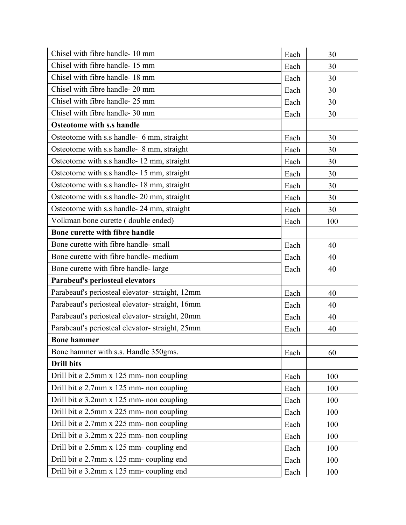| Chisel with fibre handle-10 mm                  | Each | 30  |
|-------------------------------------------------|------|-----|
| Chisel with fibre handle-15 mm                  | Each | 30  |
| Chisel with fibre handle-18 mm                  | Each | 30  |
| Chisel with fibre handle- 20 mm                 | Each | 30  |
| Chisel with fibre handle-25 mm                  | Each | 30  |
| Chisel with fibre handle- 30 mm                 | Each | 30  |
| <b>Osteotome with s.s handle</b>                |      |     |
| Osteotome with s.s handle- 6 mm, straight       | Each | 30  |
| Osteotome with s.s handle- 8 mm, straight       | Each | 30  |
| Osteotome with s.s handle-12 mm, straight       | Each | 30  |
| Osteotome with s.s handle-15 mm, straight       | Each | 30  |
| Osteotome with s.s handle-18 mm, straight       | Each | 30  |
| Osteotome with s.s handle-20 mm, straight       | Each | 30  |
| Osteotome with s.s handle-24 mm, straight       | Each | 30  |
| Volkman bone curette (double ended)             | Each | 100 |
| Bone curette with fibre handle                  |      |     |
| Bone curette with fibre handle-small            | Each | 40  |
| Bone curette with fibre handle- medium          | Each | 40  |
| Bone curette with fibre handle-large            | Each | 40  |
| Parabeuf's periosteal elevators                 |      |     |
| Parabeauf's periosteal elevator-straight, 12mm  | Each | 40  |
| Parabeauf's periosteal elevator- straight, 16mm | Each | 40  |
| Parabeauf's periosteal elevator-straight, 20mm  | Each | 40  |
| Parabeauf's periosteal elevator-straight, 25mm  | Each | 40  |
| <b>Bone hammer</b>                              |      |     |
| Bone hammer with s.s. Handle 350gms.            | Each | 60  |
| <b>Drill bits</b>                               |      |     |
| Drill bit ø 2.5mm x 125 mm- non coupling        | Each | 100 |
| Drill bit ø 2.7mm x 125 mm- non coupling        | Each | 100 |
| Drill bit ø 3.2mm x 125 mm- non coupling        | Each | 100 |
| Drill bit ø 2.5mm x 225 mm- non coupling        | Each | 100 |
| Drill bit ø 2.7mm x 225 mm- non coupling        | Each | 100 |
| Drill bit ø 3.2mm x 225 mm- non coupling        | Each | 100 |
| Drill bit ø 2.5mm x 125 mm- coupling end        | Each | 100 |
| Drill bit ø 2.7mm x 125 mm- coupling end        | Each | 100 |
| Drill bit ø 3.2mm x 125 mm- coupling end        | Each | 100 |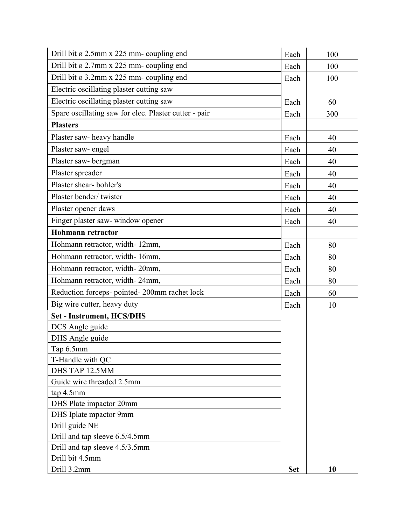| Drill bit ø 2.5mm x 225 mm- coupling end              | Each       | 100 |
|-------------------------------------------------------|------------|-----|
| Drill bit ø 2.7mm x 225 mm- coupling end              | Each       | 100 |
| Drill bit ø 3.2mm x 225 mm- coupling end              | Each       | 100 |
| Electric oscillating plaster cutting saw              |            |     |
| Electric oscillating plaster cutting saw              | Each       | 60  |
| Spare oscillating saw for elec. Plaster cutter - pair | Each       | 300 |
| <b>Plasters</b>                                       |            |     |
| Plaster saw- heavy handle                             | Each       | 40  |
| Plaster saw-engel                                     | Each       | 40  |
| Plaster saw-bergman                                   | Each       | 40  |
| Plaster spreader                                      | Each       | 40  |
| Plaster shear-bohler's                                | Each       | 40  |
| Plaster bender/twister                                | Each       | 40  |
| Plaster opener daws                                   | Each       | 40  |
| Finger plaster saw- window opener                     | Each       | 40  |
| <b>Hohmann retractor</b>                              |            |     |
| Hohmann retractor, width-12mm,                        | Each       | 80  |
| Hohmann retractor, width-16mm,                        | Each       | 80  |
| Hohmann retractor, width-20mm,                        | Each       | 80  |
| Hohmann retractor, width-24mm,                        | Each       | 80  |
| Reduction forceps- pointed- 200mm rachet lock         | Each       | 60  |
| Big wire cutter, heavy duty                           | Each       | 10  |
| <b>Set - Instrument, HCS/DHS</b>                      |            |     |
| DCS Angle guide                                       |            |     |
| DHS Angle guide                                       |            |     |
| Tap 6.5mm                                             |            |     |
| T-Handle with QC                                      |            |     |
| DHS TAP 12.5MM                                        |            |     |
| Guide wire threaded 2.5mm                             |            |     |
| tap 4.5mm                                             |            |     |
| DHS Plate impactor 20mm                               |            |     |
| DHS Iplate mpactor 9mm                                |            |     |
| Drill guide NE                                        |            |     |
| Drill and tap sleeve 6.5/4.5mm                        |            |     |
| Drill and tap sleeve 4.5/3.5mm                        |            |     |
| Drill bit 4.5mm                                       |            |     |
| Drill 3.2mm                                           | <b>Set</b> | 10  |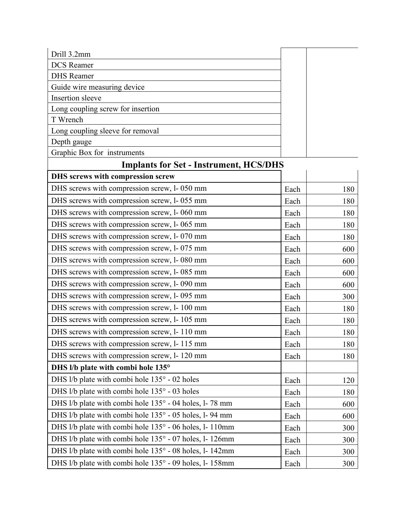| Drill 3.2mm                       |  |
|-----------------------------------|--|
| <b>DCS</b> Reamer                 |  |
| <b>DHS</b> Reamer                 |  |
| Guide wire measuring device       |  |
| Insertion sleeve                  |  |
| Long coupling screw for insertion |  |
| T Wrench                          |  |
| Long coupling sleeve for removal  |  |
| Depth gauge                       |  |
| Graphic Box for instruments       |  |

## **Implants for Set - Instrument, HCS/DHS**

| Implants for Set Thistrament, HCS/DH                    |      |     |
|---------------------------------------------------------|------|-----|
| DHS screws with compression screw                       |      |     |
| DHS screws with compression screw, l- 050 mm            | Each | 180 |
| DHS screws with compression screw, l- 055 mm            | Each | 180 |
| DHS screws with compression screw, 1-060 mm             | Each | 180 |
| DHS screws with compression screw, l- 065 mm            | Each | 180 |
| DHS screws with compression screw, 1-070 mm             | Each | 180 |
| DHS screws with compression screw, l- 075 mm            | Each | 600 |
| DHS screws with compression screw, 1-080 mm             | Each | 600 |
| DHS screws with compression screw, l- 085 mm            | Each | 600 |
| DHS screws with compression screw, l- 090 mm            | Each | 600 |
| DHS screws with compression screw, l- 095 mm            | Each | 300 |
| DHS screws with compression screw, l- 100 mm            | Each | 180 |
| DHS screws with compression screw, l- 105 mm            | Each | 180 |
| DHS screws with compression screw, l- 110 mm            | Each | 180 |
| DHS screws with compression screw, l- 115 mm            | Each | 180 |
| DHS screws with compression screw, l- 120 mm            | Each | 180 |
| DHS I/b plate with combi hole 135°                      |      |     |
| DHS 1/b plate with combi hole 135° - 02 holes           | Each | 120 |
| DHS 1/b plate with combi hole 135° - 03 holes           | Each | 180 |
| DHS 1/b plate with combi hole 135° - 04 holes, 1-78 mm  | Each | 600 |
| DHS 1/b plate with combi hole 135° - 05 holes, 1-94 mm  | Each | 600 |
| DHS 1/b plate with combi hole 135° - 06 holes, 1-110mm  | Each | 300 |
| DHS 1/b plate with combi hole 135° - 07 holes, 1-126mm  | Each | 300 |
| DHS 1/b plate with combi hole 135° - 08 holes, l- 142mm | Each | 300 |
| DHS 1/b plate with combi hole 135° - 09 holes, 1-158mm  | Each | 300 |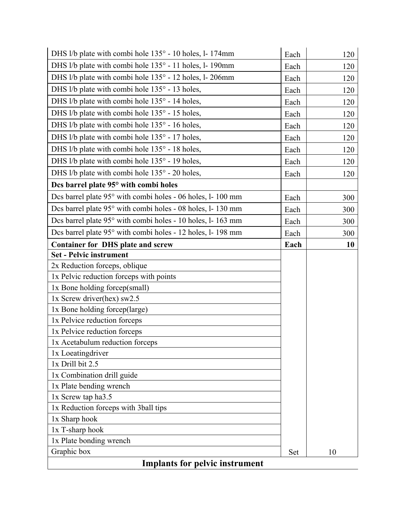| DHS 1/b plate with combi hole 135° - 10 holes, l-174mm      | Each | 120 |
|-------------------------------------------------------------|------|-----|
| DHS 1/b plate with combi hole 135° - 11 holes, l- 190mm     | Each | 120 |
| DHS 1/b plate with combi hole 135° - 12 holes, l- 206mm     | Each | 120 |
| DHS 1/b plate with combi hole 135° - 13 holes,              | Each | 120 |
| DHS 1/b plate with combi hole 135° - 14 holes,              | Each | 120 |
| DHS 1/b plate with combi hole 135° - 15 holes,              | Each | 120 |
| DHS 1/b plate with combi hole 135° - 16 holes,              | Each | 120 |
| DHS 1/b plate with combi hole 135° - 17 holes,              | Each | 120 |
| DHS 1/b plate with combi hole 135° - 18 holes,              | Each | 120 |
| DHS 1/b plate with combi hole 135° - 19 holes,              | Each | 120 |
| DHS 1/b plate with combi hole 135° - 20 holes,              | Each | 120 |
| Dcs barrel plate 95° with combi holes                       |      |     |
| Des barrel plate 95° with combi holes - 06 holes, l- 100 mm | Each | 300 |
| Des barrel plate 95° with combi holes - 08 holes, l- 130 mm | Each | 300 |
| Des barrel plate 95° with combi holes - 10 holes, l- 163 mm | Each | 300 |
| Des barrel plate 95° with combi holes - 12 holes, l- 198 mm | Each | 300 |
| <b>Container for DHS plate and screw</b>                    | Each | 10  |
| <b>Set - Pelvic instrument</b>                              |      |     |
| 2x Reduction forceps, oblique                               |      |     |
| 1x Pelvic reduction forceps with points                     |      |     |
| 1x Bone holding forcep(small)                               |      |     |
| 1x Screw driver(hex) $sw2.5$                                |      |     |
| 1x Bone holding forcep(large)                               |      |     |
| 1x Pelvice reduction forceps                                |      |     |
| 1x Pelvice reduction forceps                                |      |     |
| 1x Acetabulum reduction forceps                             |      |     |
| 1x Loeatingdriver                                           |      |     |
| 1x Drill bit 2.5                                            |      |     |
| 1x Combination drill guide                                  |      |     |
| 1x Plate bending wrench                                     |      |     |
| 1x Screw tap ha3.5                                          |      |     |
| 1x Reduction forceps with 3ball tips                        |      |     |
| 1x Sharp hook                                               |      |     |
| 1x T-sharp hook                                             |      |     |
| 1x Plate bonding wrench<br>Graphic box                      |      | 10  |
| <b>Implants for pelvic instrument</b>                       | Set  |     |
|                                                             |      |     |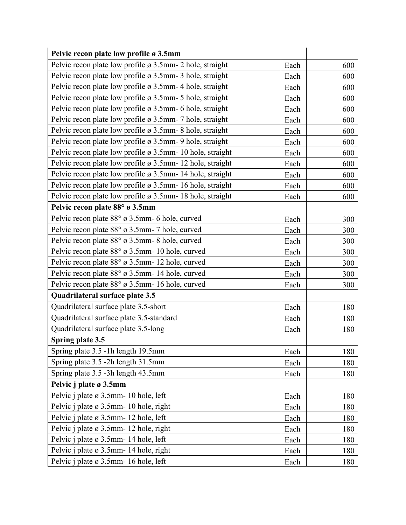| Pelvic recon plate low profile ø 3.5mm                                |      |     |
|-----------------------------------------------------------------------|------|-----|
| Pelvic recon plate low profile $\varnothing$ 3.5mm - 2 hole, straight | Each | 600 |
| Pelvic recon plate low profile ø 3.5mm- 3 hole, straight              | Each | 600 |
| Pelvic recon plate low profile $\varnothing$ 3.5mm-4 hole, straight   | Each | 600 |
| Pelvic recon plate low profile $\varnothing$ 3.5mm- 5 hole, straight  | Each | 600 |
| Pelvic recon plate low profile $\varnothing$ 3.5mm- 6 hole, straight  | Each | 600 |
| Pelvic recon plate low profile ø 3.5mm - 7 hole, straight             | Each | 600 |
| Pelvic recon plate low profile ø 3.5mm - 8 hole, straight             | Each | 600 |
| Pelvic recon plate low profile ø 3.5mm-9 hole, straight               | Each | 600 |
| Pelvic recon plate low profile $\varnothing$ 3.5mm- 10 hole, straight | Each | 600 |
| Pelvic recon plate low profile ø 3.5mm - 12 hole, straight            | Each | 600 |
| Pelvic recon plate low profile $\varnothing$ 3.5mm- 14 hole, straight | Each | 600 |
| Pelvic recon plate low profile ø 3.5mm- 16 hole, straight             | Each | 600 |
| Pelvic recon plate low profile $\varnothing$ 3.5mm- 18 hole, straight | Each | 600 |
| Pelvic recon plate 88° ø 3.5mm                                        |      |     |
| Pelvic recon plate 88° ø 3.5mm- 6 hole, curved                        | Each | 300 |
| Pelvic recon plate 88° ø 3.5mm- 7 hole, curved                        | Each | 300 |
| Pelvic recon plate 88° ø 3.5mm-8 hole, curved                         | Each | 300 |
| Pelvic recon plate 88° ø 3.5mm- 10 hole, curved                       | Each | 300 |
| Pelvic recon plate 88° ø 3.5mm- 12 hole, curved                       | Each | 300 |
| Pelvic recon plate 88° ø 3.5mm- 14 hole, curved                       | Each | 300 |
| Pelvic recon plate 88° ø 3.5mm- 16 hole, curved                       | Each | 300 |
| Quadrilateral surface plate 3.5                                       |      |     |
| Quadrilateral surface plate 3.5-short                                 | Each | 180 |
| Quadrilateral surface plate 3.5-standard                              | Each | 180 |
| Quadrilateral surface plate 3.5-long                                  | Each | 180 |
| Spring plate 3.5                                                      |      |     |
| Spring plate 3.5 -1h length 19.5mm                                    | Each | 180 |
| Spring plate 3.5 -2h length 31.5mm                                    | Each | 180 |
| Spring plate 3.5 -3h length 43.5mm                                    | Each | 180 |
| Pelvic j plate ø 3.5mm                                                |      |     |
| Pelvic j plate ø 3.5mm-10 hole, left                                  | Each | 180 |
| Pelvic j plate ø 3.5mm - 10 hole, right                               | Each | 180 |
| Pelvic j plate ø 3.5mm- 12 hole, left                                 | Each | 180 |
| Pelvic j plate ø 3.5mm- 12 hole, right                                | Each | 180 |
| Pelvic j plate ø 3.5mm- 14 hole, left                                 | Each | 180 |
| Pelvic j plate ø 3.5mm- 14 hole, right                                | Each | 180 |
| Pelvic j plate ø 3.5mm-16 hole, left                                  | Each | 180 |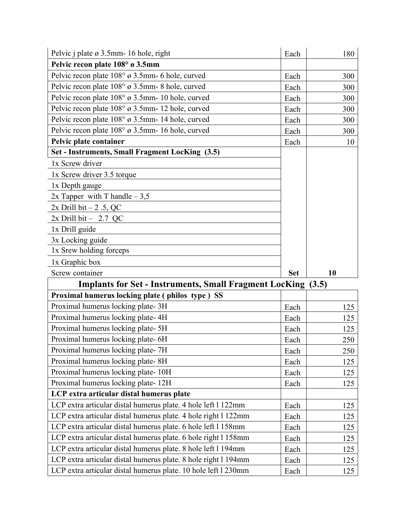| Pelvic j plate ø 3.5mm - 16 hole, right                        | Each       | 180   |
|----------------------------------------------------------------|------------|-------|
| Pelvic recon plate 108° ø 3.5mm                                |            |       |
| Pelvic recon plate 108° ø 3.5mm- 6 hole, curved                | Each       | 300   |
| Pelvic recon plate 108° ø 3.5mm-8 hole, curved                 | Each       | 300   |
| Pelvic recon plate 108° ø 3.5mm- 10 hole, curved               | Each       | 300   |
| Pelvic recon plate 108° ø 3.5mm- 12 hole, curved               | Each       | 300   |
| Pelvic recon plate 108° ø 3.5mm- 14 hole, curved               | Each       | 300   |
| Pelvic recon plate 108° ø 3.5mm- 16 hole, curved               | Each       | 300   |
| Pelvic plate container                                         | Each       | 10    |
| Set - Instruments, Small Fragment LocKing (3.5)                |            |       |
| 1x Screw driver                                                |            |       |
| 1x Screw driver 3.5 torque                                     |            |       |
| 1x Depth gauge                                                 |            |       |
| 2x Tapper with T handle $-3,5$                                 |            |       |
| $2x$ Drill bit $-2.5$ , QC                                     |            |       |
| $2x$ Drill bit - 2.7 QC                                        |            |       |
| 1x Drill guide                                                 |            |       |
| 3x Locking guide                                               |            |       |
| 1x Srew holding forceps                                        |            |       |
|                                                                |            |       |
| 1x Graphic box                                                 |            |       |
| Screw container                                                | <b>Set</b> | 10    |
| <b>Implants for Set - Instruments, Small Fragment LocKing</b>  |            | (3.5) |
| Proximal humerus locking plate (philos type) SS                |            |       |
| Proximal humerus locking plate-3H                              | Each       | 125   |
| Proximal humerus locking plate-4H                              | Each       | 125   |
| Proximal humerus locking plate- 5H                             | Each       | 125   |
| Proximal humerus locking plate- 6H                             | Each       | 250   |
| Proximal humerus locking plate-7H                              | Each       | 250   |
| Proximal humerus locking plate-8H                              | Each       | 125   |
| Proximal humerus locking plate-10H                             | Each       | 125   |
| Proximal humerus locking plate-12H                             | Each       | 125   |
| LCP extra articular distal humerus plate                       |            |       |
| LCP extra articular distal humerus plate. 4 hole left 1 122mm  | Each       | 125   |
| LCP extra articular distal humerus plate. 4 hole right 1 122mm | Each       | 125   |
| LCP extra articular distal humerus plate. 6 hole left 1 158mm  | Each       | 125   |
| LCP extra articular distal humerus plate. 6 hole right 1 158mm | Each       | 125   |
| LCP extra articular distal humerus plate. 8 hole left 1 194mm  | Each       | 125   |
| LCP extra articular distal humerus plate. 8 hole right 1 194mm | Each       | 125   |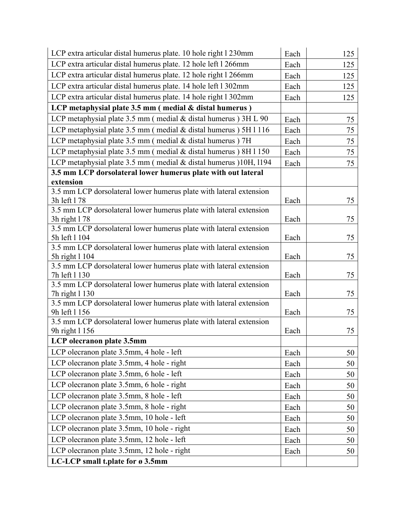| LCP extra articular distal humerus plate. 12 hole left 1 266mm<br>Each<br>125<br>LCP extra articular distal humerus plate. 12 hole right 1 266mm<br>Each<br>125<br>LCP extra articular distal humerus plate. 14 hole left 1 302mm<br>Each<br>125<br>LCP extra articular distal humerus plate. 14 hole right 1 302mm<br>Each<br>125<br>LCP metaphysial plate 3.5 mm (medial & distal humerus) |
|----------------------------------------------------------------------------------------------------------------------------------------------------------------------------------------------------------------------------------------------------------------------------------------------------------------------------------------------------------------------------------------------|
|                                                                                                                                                                                                                                                                                                                                                                                              |
|                                                                                                                                                                                                                                                                                                                                                                                              |
|                                                                                                                                                                                                                                                                                                                                                                                              |
|                                                                                                                                                                                                                                                                                                                                                                                              |
|                                                                                                                                                                                                                                                                                                                                                                                              |
| LCP metaphysial plate 3.5 mm (medial & distal humerus) 3H L 90<br>Each<br>75                                                                                                                                                                                                                                                                                                                 |
| LCP metaphysial plate 3.5 mm (medial & distal humerus) 5H 1116<br>Each<br>75                                                                                                                                                                                                                                                                                                                 |
| LCP metaphysial plate 3.5 mm (medial & distal humerus) 7H<br>75<br>Each                                                                                                                                                                                                                                                                                                                      |
| LCP metaphysial plate 3.5 mm (medial & distal humerus) 8H 1150<br>Each<br>75                                                                                                                                                                                                                                                                                                                 |
| LCP metaphysial plate 3.5 mm (medial & distal humerus )10H, 1194<br>Each<br>75                                                                                                                                                                                                                                                                                                               |
| 3.5 mm LCP dorsolateral lower humerus plate with out lateral                                                                                                                                                                                                                                                                                                                                 |
| extension                                                                                                                                                                                                                                                                                                                                                                                    |
| 3.5 mm LCP dorsolateral lower humerus plate with lateral extension<br>Each                                                                                                                                                                                                                                                                                                                   |
| 3h left 178<br>75<br>3.5 mm LCP dorsolateral lower humerus plate with lateral extension                                                                                                                                                                                                                                                                                                      |
| 3h right 178<br>Each<br>75                                                                                                                                                                                                                                                                                                                                                                   |
| 3.5 mm LCP dorsolateral lower humerus plate with lateral extension                                                                                                                                                                                                                                                                                                                           |
| 75<br>5h left 1 104<br>Each                                                                                                                                                                                                                                                                                                                                                                  |
| 3.5 mm LCP dorsolateral lower humerus plate with lateral extension                                                                                                                                                                                                                                                                                                                           |
| 5h right 1 104<br>Each<br>75                                                                                                                                                                                                                                                                                                                                                                 |
| 3.5 mm LCP dorsolateral lower humerus plate with lateral extension<br>7h left 1 130<br>Each<br>75                                                                                                                                                                                                                                                                                            |
| 3.5 mm LCP dorsolateral lower humerus plate with lateral extension                                                                                                                                                                                                                                                                                                                           |
| 75<br>Each<br>7h right 1 130                                                                                                                                                                                                                                                                                                                                                                 |
| 3.5 mm LCP dorsolateral lower humerus plate with lateral extension                                                                                                                                                                                                                                                                                                                           |
| 9h left 1 156<br>Each<br>75                                                                                                                                                                                                                                                                                                                                                                  |
| 3.5 mm LCP dorsolateral lower humerus plate with lateral extension<br>75<br>9h right 1 156<br>Each                                                                                                                                                                                                                                                                                           |
| LCP olecranon plate 3.5mm                                                                                                                                                                                                                                                                                                                                                                    |
| LCP olecranon plate 3.5mm, 4 hole - left<br>Each<br>50                                                                                                                                                                                                                                                                                                                                       |
| LCP olecranon plate 3.5mm, 4 hole - right<br>Each<br>50                                                                                                                                                                                                                                                                                                                                      |
| LCP olecranon plate 3.5mm, 6 hole - left<br>Each<br>50                                                                                                                                                                                                                                                                                                                                       |
| LCP olecranon plate 3.5mm, 6 hole - right<br>Each<br>50                                                                                                                                                                                                                                                                                                                                      |
| LCP olecranon plate 3.5mm, 8 hole - left<br>Each<br>50                                                                                                                                                                                                                                                                                                                                       |
| LCP olecranon plate 3.5mm, 8 hole - right<br>Each<br>50                                                                                                                                                                                                                                                                                                                                      |
| LCP olecranon plate 3.5mm, 10 hole - left<br>Each<br>50                                                                                                                                                                                                                                                                                                                                      |
| LCP olecranon plate 3.5mm, 10 hole - right<br>Each<br>50                                                                                                                                                                                                                                                                                                                                     |
| LCP olecranon plate 3.5mm, 12 hole - left<br>Each<br>50                                                                                                                                                                                                                                                                                                                                      |
| LCP olecranon plate 3.5mm, 12 hole - right<br>Each<br>50                                                                                                                                                                                                                                                                                                                                     |
| LC-LCP small t.plate for ø 3.5mm                                                                                                                                                                                                                                                                                                                                                             |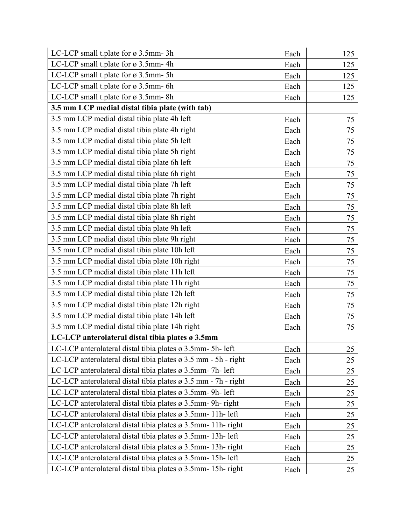| LC-LCP small t.plate for ø 3.5mm-3h                                        | Each | 125 |
|----------------------------------------------------------------------------|------|-----|
| LC-LCP small t.plate for ø 3.5mm-4h                                        | Each | 125 |
| LC-LCP small t.plate for ø 3.5mm-5h                                        | Each | 125 |
| LC-LCP small t.plate for ø 3.5mm-6h                                        | Each | 125 |
| LC-LCP small t.plate for ø 3.5mm-8h                                        | Each | 125 |
| 3.5 mm LCP medial distal tibia plate (with tab)                            |      |     |
| 3.5 mm LCP medial distal tibia plate 4h left                               | Each | 75  |
| 3.5 mm LCP medial distal tibia plate 4h right                              | Each | 75  |
| 3.5 mm LCP medial distal tibia plate 5h left                               | Each | 75  |
| 3.5 mm LCP medial distal tibia plate 5h right                              | Each | 75  |
| 3.5 mm LCP medial distal tibia plate 6h left                               | Each | 75  |
| 3.5 mm LCP medial distal tibia plate 6h right                              | Each | 75  |
| 3.5 mm LCP medial distal tibia plate 7h left                               | Each | 75  |
| 3.5 mm LCP medial distal tibia plate 7h right                              | Each | 75  |
| 3.5 mm LCP medial distal tibia plate 8h left                               | Each | 75  |
| 3.5 mm LCP medial distal tibia plate 8h right                              | Each | 75  |
| 3.5 mm LCP medial distal tibia plate 9h left                               | Each | 75  |
| 3.5 mm LCP medial distal tibia plate 9h right                              | Each | 75  |
| 3.5 mm LCP medial distal tibia plate 10h left                              | Each | 75  |
| 3.5 mm LCP medial distal tibia plate 10h right                             | Each | 75  |
| 3.5 mm LCP medial distal tibia plate 11h left                              | Each | 75  |
| 3.5 mm LCP medial distal tibia plate 11h right                             | Each | 75  |
| 3.5 mm LCP medial distal tibia plate 12h left                              | Each | 75  |
| 3.5 mm LCP medial distal tibia plate 12h right                             | Each | 75  |
| 3.5 mm LCP medial distal tibia plate 14h left                              | Each | 75  |
| 3.5 mm LCP medial distal tibia plate 14h right                             | Each | 75  |
| LC-LCP anterolateral distal tibia plates ø 3.5mm                           |      |     |
| LC-LCP anterolateral distal tibia plates ø 3.5mm-5h-left                   | Each | 25  |
| LC-LCP anterolateral distal tibia plates $\varnothing$ 3.5 mm - 5h - right | Each | 25  |
| LC-LCP anterolateral distal tibia plates ø 3.5mm- 7h- left                 | Each | 25  |
| LC-LCP anterolateral distal tibia plates $\varnothing$ 3.5 mm - 7h - right | Each | 25  |
| LC-LCP anterolateral distal tibia plates $\varnothing$ 3.5mm-9h- left      | Each | 25  |
| LC-LCP anterolateral distal tibia plates $\varnothing$ 3.5mm-9h-right      | Each | 25  |
| LC-LCP anterolateral distal tibia plates $\varnothing$ 3.5mm- 11h- left    | Each | 25  |
| LC-LCP anterolateral distal tibia plates $\varnothing$ 3.5mm- 11h-right    | Each | 25  |
| LC-LCP anterolateral distal tibia plates ø 3.5mm- 13h- left                | Each | 25  |
| LC-LCP anterolateral distal tibia plates ø 3.5mm-13h-right                 | Each | 25  |
| LC-LCP anterolateral distal tibia plates $\varnothing$ 3.5mm- 15h- left    | Each | 25  |
| LC-LCP anterolateral distal tibia plates ø 3.5mm- 15h- right               | Each | 25  |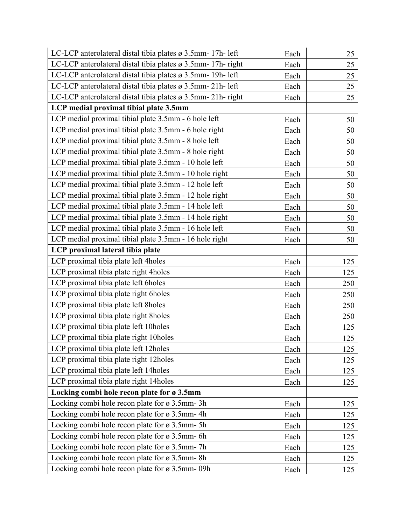| LC-LCP anterolateral distal tibia plates ø 3.5mm- 17h- left  | Each | 25  |
|--------------------------------------------------------------|------|-----|
| LC-LCP anterolateral distal tibia plates ø 3.5mm- 17h- right | Each | 25  |
| LC-LCP anterolateral distal tibia plates ø 3.5mm- 19h- left  | Each | 25  |
| LC-LCP anterolateral distal tibia plates ø 3.5mm-21h-left    | Each | 25  |
| LC-LCP anterolateral distal tibia plates ø 3.5mm-21h-right   | Each | 25  |
| LCP medial proximal tibial plate 3.5mm                       |      |     |
| LCP medial proximal tibial plate 3.5mm - 6 hole left         | Each | 50  |
| LCP medial proximal tibial plate 3.5mm - 6 hole right        | Each | 50  |
| LCP medial proximal tibial plate 3.5mm - 8 hole left         | Each | 50  |
| LCP medial proximal tibial plate 3.5mm - 8 hole right        | Each | 50  |
| LCP medial proximal tibial plate 3.5mm - 10 hole left        | Each | 50  |
| LCP medial proximal tibial plate 3.5mm - 10 hole right       | Each | 50  |
| LCP medial proximal tibial plate 3.5mm - 12 hole left        | Each | 50  |
| LCP medial proximal tibial plate 3.5mm - 12 hole right       | Each | 50  |
| LCP medial proximal tibial plate 3.5mm - 14 hole left        | Each | 50  |
| LCP medial proximal tibial plate 3.5mm - 14 hole right       | Each | 50  |
| LCP medial proximal tibial plate 3.5mm - 16 hole left        | Each | 50  |
| LCP medial proximal tibial plate 3.5mm - 16 hole right       | Each | 50  |
| LCP proximal lateral tibia plate                             |      |     |
| LCP proximal tibia plate left 4holes                         | Each | 125 |
| LCP proximal tibia plate right 4holes                        | Each | 125 |
| LCP proximal tibia plate left 6holes                         | Each | 250 |
| LCP proximal tibia plate right 6holes                        | Each | 250 |
| LCP proximal tibia plate left 8holes                         | Each | 250 |
| LCP proximal tibia plate right 8holes                        | Each | 250 |
| LCP proximal tibia plate left 10holes                        | Each | 125 |
| LCP proximal tibia plate right 10holes                       | Each | 125 |
| LCP proximal tibia plate left 12holes                        | Each | 125 |
| LCP proximal tibia plate right 12holes                       | Each | 125 |
| LCP proximal tibia plate left 14holes                        | Each | 125 |
| LCP proximal tibia plate right 14holes                       | Each | 125 |
| Locking combi hole recon plate for ø 3.5mm                   |      |     |
| Locking combi hole recon plate for $\varnothing$ 3.5mm-3h    | Each | 125 |
| Locking combi hole recon plate for $\varnothing$ 3.5mm-4h    | Each | 125 |
| Locking combi hole recon plate for $\varnothing$ 3.5mm-5h    | Each | 125 |
| Locking combi hole recon plate for $\varnothing$ 3.5mm-6h    | Each | 125 |
| Locking combi hole recon plate for $\varnothing$ 3.5mm-7h    | Each | 125 |
| Locking combi hole recon plate for $\varnothing$ 3.5mm-8h    | Each | 125 |
| Locking combi hole recon plate for ø 3.5mm-09h               | Each | 125 |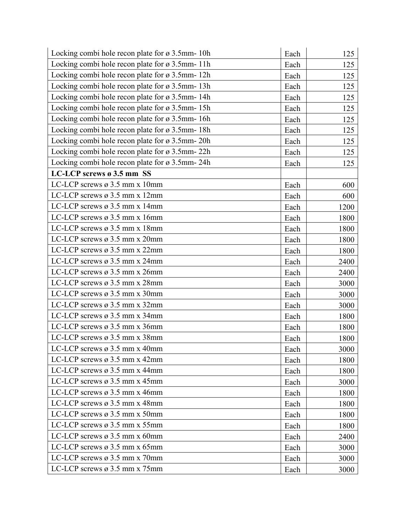| Locking combi hole recon plate for $\varnothing$ 3.5mm- 10h | Each | 125  |
|-------------------------------------------------------------|------|------|
| Locking combi hole recon plate for ø 3.5mm-11h              | Each | 125  |
| Locking combi hole recon plate for ø 3.5mm-12h              | Each | 125  |
| Locking combi hole recon plate for ø 3.5mm-13h              | Each | 125  |
| Locking combi hole recon plate for ø 3.5mm-14h              | Each | 125  |
| Locking combi hole recon plate for ø 3.5mm-15h              | Each | 125  |
| Locking combi hole recon plate for ø 3.5mm-16h              | Each | 125  |
| Locking combi hole recon plate for ø 3.5mm-18h              | Each | 125  |
| Locking combi hole recon plate for $\alpha$ 3.5mm- 20h      | Each | 125  |
| Locking combi hole recon plate for ø 3.5mm-22h              | Each | 125  |
| Locking combi hole recon plate for ø 3.5mm-24h              | Each | 125  |
| LC-LCP screws ø 3.5 mm SS                                   |      |      |
| LC-LCP screws ø 3.5 mm x 10mm                               | Each | 600  |
| LC-LCP screws ø 3.5 mm x 12mm                               | Each | 600  |
| LC-LCP screws ø 3.5 mm x 14mm                               | Each | 1200 |
| LC-LCP screws ø 3.5 mm x 16mm                               | Each | 1800 |
| LC-LCP screws $\varnothing$ 3.5 mm x 18mm                   | Each | 1800 |
| LC-LCP screws ø 3.5 mm x 20mm                               | Each | 1800 |
| LC-LCP screws ø 3.5 mm x 22mm                               | Each | 1800 |
| LC-LCP screws ø 3.5 mm x 24mm                               | Each | 2400 |
| LC-LCP screws $\varnothing$ 3.5 mm x 26mm                   | Each | 2400 |
| LC-LCP screws ø 3.5 mm x 28mm                               | Each | 3000 |
| LC-LCP screws ø 3.5 mm x 30mm                               | Each | 3000 |
| LC-LCP screws ø 3.5 mm x 32mm                               | Each | 3000 |
| LC-LCP screws ø 3.5 mm x 34mm                               | Each | 1800 |
| LC-LCP screws $\varnothing$ 3.5 mm x 36mm                   | Each | 1800 |
| LC-LCP screws ø 3.5 mm x 38mm                               | Each | 1800 |
| LC-LCP screws $\varnothing$ 3.5 mm x 40mm                   | Each | 3000 |
| LC-LCP screws $\varnothing$ 3.5 mm x 42mm                   | Each | 1800 |
| LC-LCP screws $\varnothing$ 3.5 mm x 44mm                   | Each | 1800 |
| LC-LCP screws $\varnothing$ 3.5 mm x 45mm                   | Each | 3000 |
| LC-LCP screws $\varnothing$ 3.5 mm x 46mm                   | Each | 1800 |
| LC-LCP screws $\varnothing$ 3.5 mm x 48mm                   | Each | 1800 |
| LC-LCP screws $\varnothing$ 3.5 mm x 50mm                   | Each | 1800 |
| LC-LCP screws $\varnothing$ 3.5 mm x 55mm                   | Each | 1800 |
| LC-LCP screws $\varnothing$ 3.5 mm x 60mm                   | Each | 2400 |
| LC-LCP screws $\varnothing$ 3.5 mm x 65mm                   | Each | 3000 |
| LC-LCP screws $\varnothing$ 3.5 mm x 70mm                   | Each | 3000 |
| LC-LCP screws $\varnothing$ 3.5 mm x 75mm                   | Each | 3000 |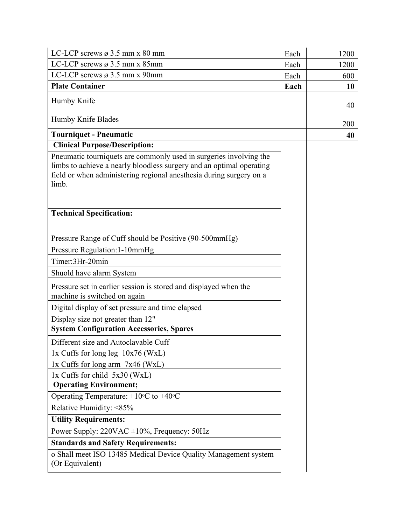| LC-LCP screws $\varnothing$ 3.5 mm x 80 mm                                                                                                                                                                                 | Each | 1200 |
|----------------------------------------------------------------------------------------------------------------------------------------------------------------------------------------------------------------------------|------|------|
| LC-LCP screws $\varnothing$ 3.5 mm x 85mm                                                                                                                                                                                  | Each | 1200 |
| LC-LCP screws $\varnothing$ 3.5 mm x 90mm                                                                                                                                                                                  | Each | 600  |
| <b>Plate Container</b>                                                                                                                                                                                                     | Each | 10   |
| Humby Knife                                                                                                                                                                                                                |      | 40   |
| Humby Knife Blades                                                                                                                                                                                                         |      | 200  |
| <b>Tourniquet - Pneumatic</b>                                                                                                                                                                                              |      | 40   |
| <b>Clinical Purpose/Description:</b>                                                                                                                                                                                       |      |      |
| Pneumatic tourniquets are commonly used in surgeries involving the<br>limbs to achieve a nearly bloodless surgery and an optimal operating<br>field or when administering regional anesthesia during surgery on a<br>limb. |      |      |
| <b>Technical Specification:</b>                                                                                                                                                                                            |      |      |
| Pressure Range of Cuff should be Positive (90-500mmHg)                                                                                                                                                                     |      |      |
| Pressure Regulation: 1-10mmHg                                                                                                                                                                                              |      |      |
| Timer:3Hr-20min                                                                                                                                                                                                            |      |      |
| Shuold have alarm System                                                                                                                                                                                                   |      |      |
| Pressure set in earlier session is stored and displayed when the<br>machine is switched on again                                                                                                                           |      |      |
| Digital display of set pressure and time elapsed                                                                                                                                                                           |      |      |
| Display size not greater than 12"                                                                                                                                                                                          |      |      |
| <b>System Configuration Accessories, Spares</b>                                                                                                                                                                            |      |      |
| Different size and Autoclavable Cuff                                                                                                                                                                                       |      |      |
| 1x Cuffs for long leg $10x76$ (WxL)                                                                                                                                                                                        |      |      |
| $1x$ Cuffs for long arm $7x46$ (WxL)                                                                                                                                                                                       |      |      |
| 1x Cuffs for child 5x30 (WxL)                                                                                                                                                                                              |      |      |
| <b>Operating Environment;</b>                                                                                                                                                                                              |      |      |
| Operating Temperature: $+10$ <sup>o</sup> C to $+40$ <sup>o</sup> C                                                                                                                                                        |      |      |
| Relative Humidity: <85%                                                                                                                                                                                                    |      |      |
| <b>Utility Requirements:</b>                                                                                                                                                                                               |      |      |
| Power Supply: $220\text{VAC} \pm 10\%$ , Frequency: $50\text{Hz}$                                                                                                                                                          |      |      |
| <b>Standards and Safety Requirements:</b>                                                                                                                                                                                  |      |      |
| o Shall meet ISO 13485 Medical Device Quality Management system<br>(Or Equivalent)                                                                                                                                         |      |      |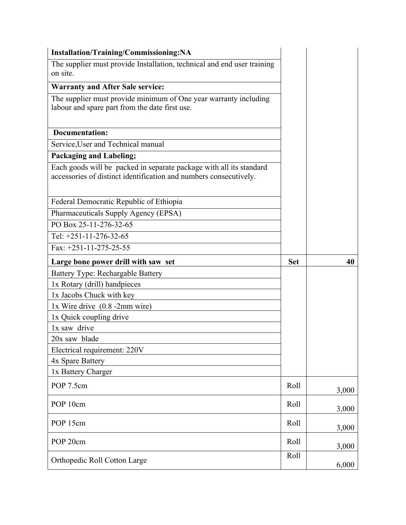| Installation/Training/Commissioning:NA                                                                                                   |            |       |
|------------------------------------------------------------------------------------------------------------------------------------------|------------|-------|
| The supplier must provide Installation, technical and end user training<br>on site.                                                      |            |       |
| <b>Warranty and After Sale service:</b>                                                                                                  |            |       |
| The supplier must provide minimum of One year warranty including<br>labour and spare part from the date first use.                       |            |       |
| Documentation:                                                                                                                           |            |       |
| Service, User and Technical manual                                                                                                       |            |       |
| <b>Packaging and Labeling;</b>                                                                                                           |            |       |
| Each goods will be packed in separate package with all its standard<br>accessories of distinct identification and numbers consecutively. |            |       |
| Federal Democratic Republic of Ethiopia                                                                                                  |            |       |
| Pharmaceuticals Supply Agency (EPSA)                                                                                                     |            |       |
| PO Box 25-11-276-32-65                                                                                                                   |            |       |
| Tel: +251-11-276-32-65                                                                                                                   |            |       |
| Fax: $+251-11-275-25-55$                                                                                                                 |            |       |
| Large bone power drill with saw set                                                                                                      | <b>Set</b> | 40    |
|                                                                                                                                          |            |       |
| <b>Battery Type: Rechargable Battery</b>                                                                                                 |            |       |
| 1x Rotary (drill) handpieces                                                                                                             |            |       |
| 1x Jacobs Chuck with key                                                                                                                 |            |       |
| $1x$ Wire drive $(0.8 - 2mm)$ wire)                                                                                                      |            |       |
| 1x Quick coupling drive                                                                                                                  |            |       |
| 1x saw drive                                                                                                                             |            |       |
| 20x saw blade                                                                                                                            |            |       |
| Electrical requirement: 220V                                                                                                             |            |       |
| 4x Spare Battery                                                                                                                         |            |       |
| 1x Battery Charger                                                                                                                       |            |       |
| POP 7.5cm                                                                                                                                | Roll       | 3,000 |
| POP 10cm                                                                                                                                 | Roll       | 3,000 |
| POP 15cm                                                                                                                                 | Roll       | 3,000 |
| POP 20cm                                                                                                                                 | Roll       | 3,000 |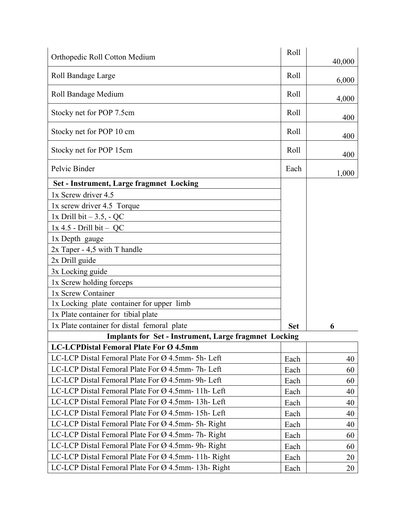| Orthopedic Roll Cotton Medium                                   | Roll       | 40,000 |
|-----------------------------------------------------------------|------------|--------|
| Roll Bandage Large                                              | Roll       | 6,000  |
| Roll Bandage Medium                                             | Roll       |        |
| Stocky net for POP 7.5cm                                        | Roll       | 4,000  |
| Stocky net for POP 10 cm                                        | Roll       | 400    |
|                                                                 |            | 400    |
| Stocky net for POP 15cm                                         | Roll       | 400    |
| Pelvic Binder                                                   | Each       | 1,000  |
| <b>Set - Instrument, Large fragmnet Locking</b>                 |            |        |
| 1x Screw driver 4.5                                             |            |        |
| 1x screw driver 4.5 Torque                                      |            |        |
| 1x Drill bit $-3.5$ , - QC                                      |            |        |
| $1x$ 4.5 - Drill bit - QC                                       |            |        |
| 1x Depth gauge                                                  |            |        |
| $2x$ Taper - 4,5 with T handle                                  |            |        |
| 2x Drill guide                                                  |            |        |
| 3x Locking guide                                                |            |        |
| 1x Screw holding forceps                                        |            |        |
| 1x Screw Container                                              |            |        |
| 1x Locking plate container for upper limb                       |            |        |
| 1x Plate container for tibial plate                             |            |        |
| 1x Plate container for distal femoral plate                     | <b>Set</b> | 6      |
| <b>Implants for Set - Instrument, Large fragmnet Locking</b>    |            |        |
| <b>LC-LCPDistal Femoral Plate For Ø 4.5mm</b>                   |            |        |
| LC-LCP Distal Femoral Plate For Ø 4.5mm- 5h- Left               | Each       | 40     |
| LC-LCP Distal Femoral Plate For Ø 4.5mm- 7h- Left               | Each       | 60     |
| LC-LCP Distal Femoral Plate For Ø 4.5mm- 9h- Left               | Each       | 60     |
| LC-LCP Distal Femoral Plate For Ø 4.5mm- 11h- Left              | Each       | 40     |
| LC-LCP Distal Femoral Plate For Ø 4.5mm- 13h- Left              | Each       | 40     |
| LC-LCP Distal Femoral Plate For Ø 4.5mm- 15h- Left              | Each       | 40     |
| LC-LCP Distal Femoral Plate For Ø 4.5mm- 5h- Right              | Each       | 40     |
| LC-LCP Distal Femoral Plate For Ø 4.5mm- 7h- Right              | Each       | 60     |
| LC-LCP Distal Femoral Plate For $\varnothing$ 4.5mm-9h-Right    | Each       | 60     |
| LC-LCP Distal Femoral Plate For $\varnothing$ 4.5mm- 11h- Right | Each       | 20     |
| LC-LCP Distal Femoral Plate For Ø 4.5mm- 13h- Right             | Each       | 20     |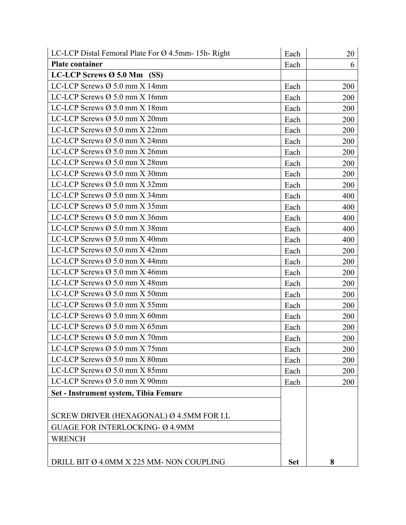| LC-LCP Distal Femoral Plate For $\varnothing$ 4.5mm- 15h- Right | Each       | 20  |
|-----------------------------------------------------------------|------------|-----|
| <b>Plate container</b>                                          | Each       | 6   |
| LC-LCP Screws $\varnothing$ 5.0 Mm (SS)                         |            |     |
| LC-LCP Screws $\varnothing$ 5.0 mm X 14mm                       | Each       | 200 |
| LC-LCP Screws $\varnothing$ 5.0 mm X 16mm                       | Each       | 200 |
| LC-LCP Screws $\varnothing$ 5.0 mm X 18mm                       | Each       | 200 |
| LC-LCP Screws $\varnothing$ 5.0 mm X 20mm                       | Each       | 200 |
| LC-LCP Screws $\varnothing$ 5.0 mm X 22mm                       | Each       | 200 |
| LC-LCP Screws $\varnothing$ 5.0 mm X 24mm                       | Each       | 200 |
| LC-LCP Screws $\varnothing$ 5.0 mm X 26mm                       | Each       | 200 |
| LC-LCP Screws $\varnothing$ 5.0 mm X 28mm                       | Each       | 200 |
| LC-LCP Screws $\varnothing$ 5.0 mm X 30mm                       | Each       | 200 |
| LC-LCP Screws $\varnothing$ 5.0 mm X 32mm                       | Each       | 200 |
| LC-LCP Screws $\varnothing$ 5.0 mm X 34mm                       | Each       | 400 |
| LC-LCP Screws $\varnothing$ 5.0 mm X 35mm                       | Each       | 400 |
| LC-LCP Screws $\varnothing$ 5.0 mm X 36mm                       | Each       | 400 |
| LC-LCP Screws $\varnothing$ 5.0 mm X 38mm                       | Each       | 400 |
| LC-LCP Screws $\varnothing$ 5.0 mm X 40mm                       | Each       | 400 |
| LC-LCP Screws $\varnothing$ 5.0 mm X 42mm                       | Each       | 200 |
| LC-LCP Screws $\varnothing$ 5.0 mm X 44mm                       | Each       | 200 |
| LC-LCP Screws $\varnothing$ 5.0 mm X 46mm                       | Each       | 200 |
| LC-LCP Screws $\varnothing$ 5.0 mm X 48mm                       | Each       | 200 |
| LC-LCP Screws $\varnothing$ 5.0 mm X 50mm                       | Each       | 200 |
| LC-LCP Screws $\varnothing$ 5.0 mm X 55mm                       | Each       | 200 |
| LC-LCP Screws $\varnothing$ 5.0 mm X 60mm                       | Each       | 200 |
| LC-LCP Screws Ø 5.0 mm X 65mm                                   | Each       | 200 |
| LC-LCP Screws $\varnothing$ 5.0 mm X 70mm                       | Each       | 200 |
| LC-LCP Screws $\varnothing$ 5.0 mm X 75mm                       | Each       | 200 |
| LC-LCP Screws $\varnothing$ 5.0 mm X 80mm                       | Each       | 200 |
| LC-LCP Screws $\varnothing$ 5.0 mm X 85mm                       | Each       | 200 |
| LC-LCP Screws $\varnothing$ 5.0 mm X 90mm                       | Each       | 200 |
| Set - Instrument system, Tibia Femure                           |            |     |
| SCREW DRIVER (HEXAGONAL) Ø 4.5MM FOR I.L                        |            |     |
|                                                                 |            |     |
| <b>GUAGE FOR INTERLOCKING- Ø 4.9MM</b>                          |            |     |
| <b>WRENCH</b>                                                   |            |     |
|                                                                 |            |     |
| DRILL BIT Ø 4.0MM X 225 MM- NON COUPLING                        | <b>Set</b> | 8   |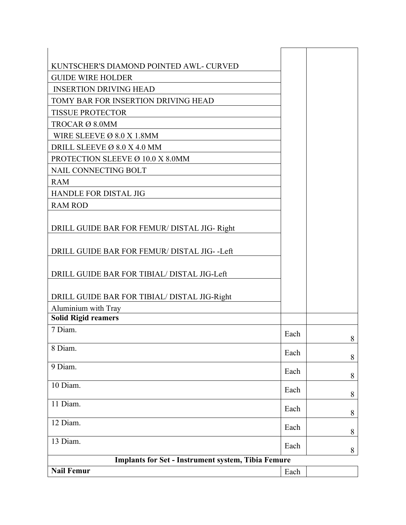| <b>Nail Femur</b>                                         | Each |  |
|-----------------------------------------------------------|------|--|
| <b>Implants for Set - Instrument system, Tibia Femure</b> |      |  |
| 13 Diam.                                                  | Each |  |
| 12 Diam.                                                  | Each |  |
| 11 Diam.                                                  | Each |  |
| 10 Diam.                                                  | Each |  |
| 9 Diam.                                                   | Each |  |
| $\overline{8}$ Diam.                                      | Each |  |
| 7 Diam.                                                   | Each |  |
| <b>Solid Rigid reamers</b>                                |      |  |
| Aluminium with Tray                                       |      |  |
| DRILL GUIDE BAR FOR TIBIAL/ DISTAL JIG-Right              |      |  |
| DRILL GUIDE BAR FOR TIBIAL/ DISTAL JIG-Left               |      |  |
| DRILL GUIDE BAR FOR FEMUR/ DISTAL JIG--Left               |      |  |
| DRILL GUIDE BAR FOR FEMUR/ DISTAL JIG-Right               |      |  |
| <b>RAM ROD</b>                                            |      |  |
| <b>HANDLE FOR DISTAL JIG</b>                              |      |  |
| <b>RAM</b>                                                |      |  |
| NAIL CONNECTING BOLT                                      |      |  |
| PROTECTION SLEEVE Ø 10.0 X 8.0MM                          |      |  |
| DRILL SLEEVE Ø 8.0 X 4.0 MM                               |      |  |
| WIRE SLEEVE Ø 8.0 X 1.8MM                                 |      |  |
| TROCAR Ø 8.0MM                                            |      |  |
| <b>TISSUE PROTECTOR</b>                                   |      |  |
| TOMY BAR FOR INSERTION DRIVING HEAD                       |      |  |
| <b>INSERTION DRIVING HEAD</b>                             |      |  |
| <b>GUIDE WIRE HOLDER</b>                                  |      |  |
|                                                           |      |  |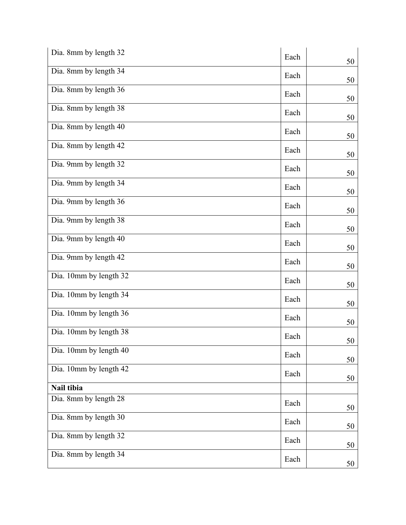| Dia. 8mm by length 32  |      |    |
|------------------------|------|----|
|                        | Each | 50 |
| Dia. 8mm by length 34  | Each | 50 |
| Dia. 8mm by length 36  | Each | 50 |
| Dia. 8mm by length 38  | Each | 50 |
| Dia. 8mm by length 40  | Each | 50 |
| Dia. 8mm by length 42  | Each | 50 |
| Dia. 9mm by length 32  | Each | 50 |
| Dia. 9mm by length 34  | Each | 50 |
| Dia. 9mm by length 36  | Each | 50 |
| Dia. 9mm by length 38  | Each | 50 |
| Dia. 9mm by length 40  | Each | 50 |
| Dia. 9mm by length 42  | Each | 50 |
| Dia. 10mm by length 32 | Each | 50 |
| Dia. 10mm by length 34 | Each | 50 |
| Dia. 10mm by length 36 | Each | 50 |
| Dia. 10mm by length 38 | Each | 50 |
| Dia. 10mm by length 40 | Each | 50 |
| Dia. 10mm by length 42 | Each |    |
| Nail tibia             |      | 50 |
| Dia. 8mm by length 28  |      |    |
|                        | Each | 50 |
| Dia. 8mm by length 30  | Each | 50 |
| Dia. 8mm by length 32  | Each | 50 |
| Dia. 8mm by length 34  | Each | 50 |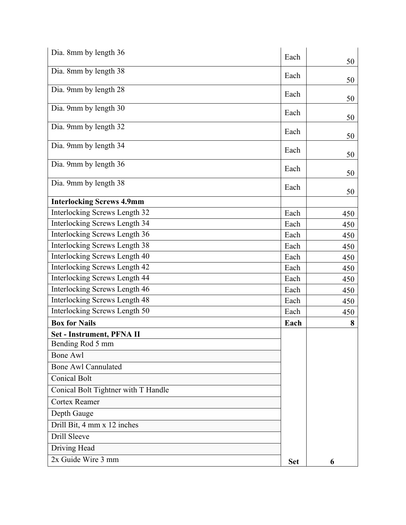| Dia. 8mm by length 36               | Each       |     |
|-------------------------------------|------------|-----|
| Dia. 8mm by length 38               |            | 50  |
|                                     | Each       | 50  |
| Dia. 9mm by length 28               | Each       | 50  |
| Dia. 9mm by length 30               | Each       |     |
|                                     |            | 50  |
| Dia. 9mm by length 32               | Each       | 50  |
| Dia. 9mm by length 34               | Each       | 50  |
| Dia. 9mm by length 36               | Each       | 50  |
| Dia. 9mm by length 38               | Each       |     |
| <b>Interlocking Screws 4.9mm</b>    |            | 50  |
| Interlocking Screws Length 32       | Each       | 450 |
| Interlocking Screws Length 34       | Each       | 450 |
| Interlocking Screws Length 36       | Each       | 450 |
| Interlocking Screws Length 38       | Each       | 450 |
| Interlocking Screws Length 40       | Each       | 450 |
| Interlocking Screws Length 42       | Each       | 450 |
| Interlocking Screws Length 44       | Each       | 450 |
| Interlocking Screws Length 46       | Each       | 450 |
| Interlocking Screws Length 48       | Each       | 450 |
| Interlocking Screws Length 50       | Each       | 450 |
| <b>Box for Nails</b>                | Each       | 8   |
| Set - Instrument, PFNA II           |            |     |
| Bending Rod 5 mm                    |            |     |
| <b>Bone Awl</b>                     |            |     |
| <b>Bone Awl Cannulated</b>          |            |     |
| <b>Conical Bolt</b>                 |            |     |
| Conical Bolt Tightner with T Handle |            |     |
| <b>Cortex Reamer</b>                |            |     |
| Depth Gauge                         |            |     |
| Drill Bit, 4 mm x 12 inches         |            |     |
| Drill Sleeve                        |            |     |
| Driving Head                        |            |     |
| 2x Guide Wire 3 mm                  | <b>Set</b> | 6   |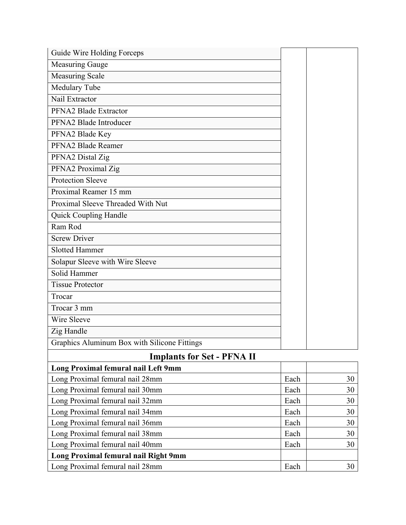| Guide Wire Holding Forceps                   |      |    |
|----------------------------------------------|------|----|
| <b>Measuring Gauge</b>                       |      |    |
| Measuring Scale                              |      |    |
| Medulary Tube                                |      |    |
| Nail Extractor                               |      |    |
| PFNA2 Blade Extractor                        |      |    |
| PFNA2 Blade Introducer                       |      |    |
| PFNA2 Blade Key                              |      |    |
| PFNA2 Blade Reamer                           |      |    |
| PFNA2 Distal Zig                             |      |    |
| PFNA2 Proximal Zig                           |      |    |
| <b>Protection Sleeve</b>                     |      |    |
| Proximal Reamer 15 mm                        |      |    |
| Proximal Sleeve Threaded With Nut            |      |    |
| Quick Coupling Handle                        |      |    |
| Ram Rod                                      |      |    |
| <b>Screw Driver</b>                          |      |    |
| <b>Slotted Hammer</b>                        |      |    |
| Solapur Sleeve with Wire Sleeve              |      |    |
| Solid Hammer                                 |      |    |
| <b>Tissue Protector</b>                      |      |    |
| Trocar                                       |      |    |
| Trocar 3 mm                                  |      |    |
| Wire Sleeve                                  |      |    |
| Zig Handle                                   |      |    |
| Graphics Aluminum Box with Silicone Fittings |      |    |
| <b>Implants for Set - PFNA II</b>            |      |    |
| Long Proximal femural nail Left 9mm          |      |    |
| Long Proximal femural nail 28mm              | Each | 30 |
| Long Proximal femural nail 30mm              | Each | 30 |
| Long Proximal femural nail 32mm              | Each | 30 |
| Long Proximal femural nail 34mm              | Each | 30 |
| Long Proximal femural nail 36mm              | Each | 30 |

Long Proximal femural nail 38mm and 1980 and 1980 and 1980 and 1980 and 1980 and 1980 and 1980 and 1980 and 19 Long Proximal femural nail 40mm and the state of the state of the state of the state of the state of the state of the state of the state of the state of the state of the state of the state of the state of the state of the

Long Proximal femural nail 28mm and all the state of the state of the state of the state of the state of the state of the state of the state of the state of the state of the state of the state of the state of the state of

**Long Proximal femural nail Right 9mm**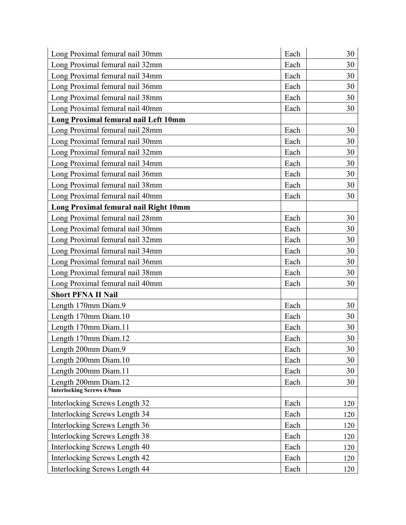| Long Proximal femural nail 30mm       | Each | 30  |
|---------------------------------------|------|-----|
| Long Proximal femural nail 32mm       | Each | 30  |
| Long Proximal femural nail 34mm       | Each | 30  |
| Long Proximal femural nail 36mm       | Each | 30  |
| Long Proximal femural nail 38mm       | Each | 30  |
| Long Proximal femural nail 40mm       | Each | 30  |
| Long Proximal femural nail Left 10mm  |      |     |
| Long Proximal femural nail 28mm       | Each | 30  |
| Long Proximal femural nail 30mm       | Each | 30  |
| Long Proximal femural nail 32mm       | Each | 30  |
| Long Proximal femural nail 34mm       | Each | 30  |
| Long Proximal femural nail 36mm       | Each | 30  |
| Long Proximal femural nail 38mm       | Each | 30  |
| Long Proximal femural nail 40mm       | Each | 30  |
| Long Proximal femural nail Right 10mm |      |     |
| Long Proximal femural nail 28mm       | Each | 30  |
| Long Proximal femural nail 30mm       | Each | 30  |
| Long Proximal femural nail 32mm       | Each | 30  |
| Long Proximal femural nail 34mm       | Each | 30  |
| Long Proximal femural nail 36mm       | Each | 30  |
| Long Proximal femural nail 38mm       | Each | 30  |
| Long Proximal femural nail 40mm       | Each | 30  |
| <b>Short PFNA II Nail</b>             |      |     |
| Length 170mm Diam.9                   | Each | 30  |
| Length 170mm Diam.10                  | Each | 30  |
| Length 170mm Diam.11                  | Each | 30  |
| Length 170mm Diam.12                  | Each | 30  |
| Length 200mm Diam.9                   | Each | 30  |
| Length 200mm Diam.10                  | Each | 30  |
| Length 200mm Diam.11                  | Each | 30  |
| Length 200mm Diam.12                  | Each | 30  |
| <b>Interlocking Screws 4.9mm</b>      |      |     |
| Interlocking Screws Length 32         | Each | 120 |
| Interlocking Screws Length 34         | Each | 120 |
| Interlocking Screws Length 36         | Each | 120 |
| Interlocking Screws Length 38         | Each | 120 |
| Interlocking Screws Length 40         | Each | 120 |
| Interlocking Screws Length 42         | Each | 120 |
| Interlocking Screws Length 44         | Each | 120 |